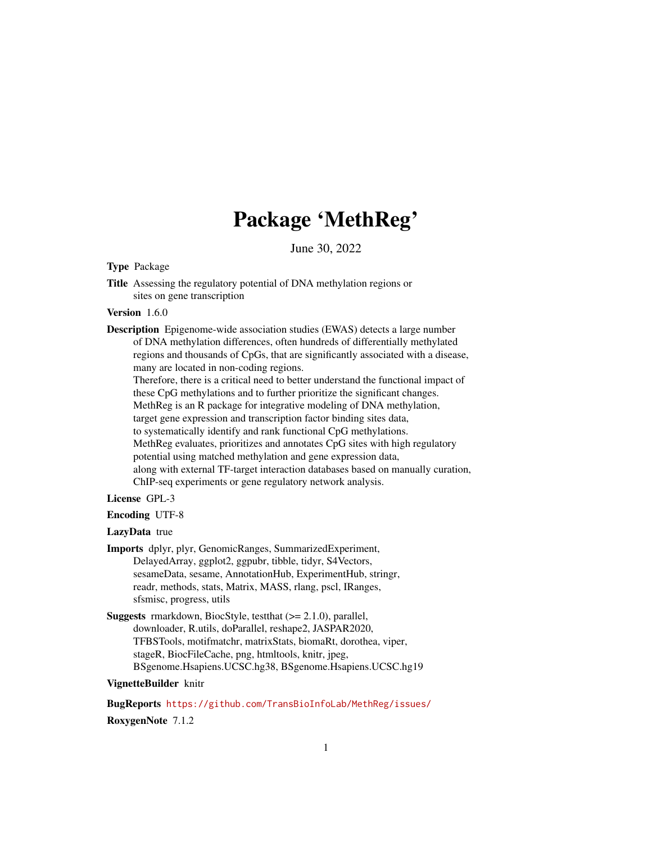## Package 'MethReg'

June 30, 2022

<span id="page-0-0"></span>Type Package

Title Assessing the regulatory potential of DNA methylation regions or sites on gene transcription

#### Version 1.6.0

Description Epigenome-wide association studies (EWAS) detects a large number of DNA methylation differences, often hundreds of differentially methylated regions and thousands of CpGs, that are significantly associated with a disease, many are located in non-coding regions. Therefore, there is a critical need to better understand the functional impact of these CpG methylations and to further prioritize the significant changes. MethReg is an R package for integrative modeling of DNA methylation, target gene expression and transcription factor binding sites data, to systematically identify and rank functional CpG methylations. MethReg evaluates, prioritizes and annotates CpG sites with high regulatory potential using matched methylation and gene expression data, along with external TF-target interaction databases based on manually curation, ChIP-seq experiments or gene regulatory network analysis.

## License GPL-3

#### Encoding UTF-8

#### LazyData true

- Imports dplyr, plyr, GenomicRanges, SummarizedExperiment, DelayedArray, ggplot2, ggpubr, tibble, tidyr, S4Vectors, sesameData, sesame, AnnotationHub, ExperimentHub, stringr, readr, methods, stats, Matrix, MASS, rlang, pscl, IRanges, sfsmisc, progress, utils
- Suggests rmarkdown, BiocStyle, testthat (>= 2.1.0), parallel, downloader, R.utils, doParallel, reshape2, JASPAR2020, TFBSTools, motifmatchr, matrixStats, biomaRt, dorothea, viper, stageR, BiocFileCache, png, htmltools, knitr, jpeg, BSgenome.Hsapiens.UCSC.hg38, BSgenome.Hsapiens.UCSC.hg19

## VignetteBuilder knitr

BugReports <https://github.com/TransBioInfoLab/MethReg/issues/> RoxygenNote 7.1.2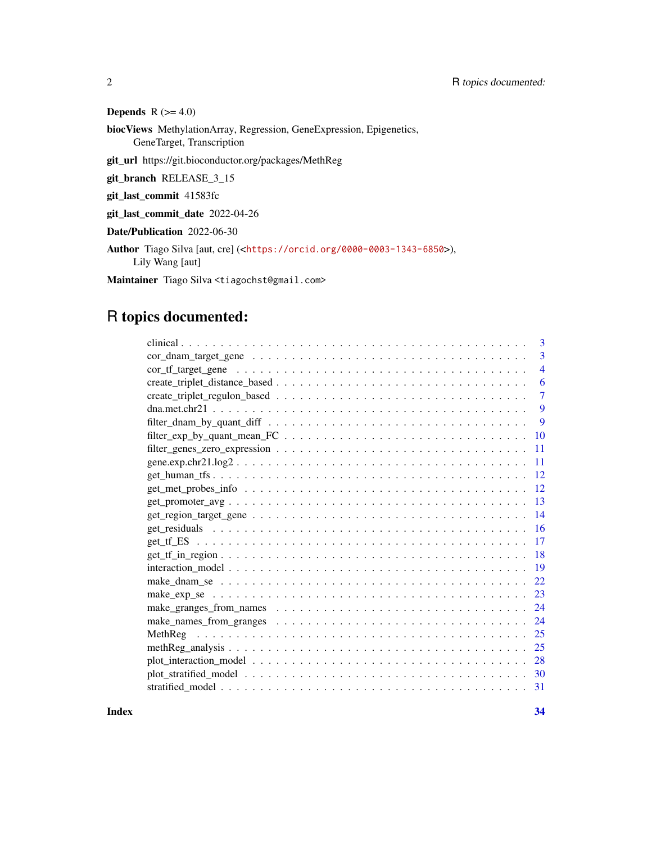## Depends  $R$  ( $>= 4.0$ )

biocViews MethylationArray, Regression, GeneExpression, Epigenetics, GeneTarget, Transcription

git\_url https://git.bioconductor.org/packages/MethReg

git\_branch RELEASE\_3\_15

git\_last\_commit 41583fc

git\_last\_commit\_date 2022-04-26

Date/Publication 2022-06-30

Author Tiago Silva [aut, cre] (<<https://orcid.org/0000-0003-1343-6850>>), Lily Wang [aut]

Maintainer Tiago Silva <tiagochst@gmail.com>

## R topics documented:

| 3              |
|----------------|
| 3              |
| $\overline{4}$ |
| 6              |
| $\overline{7}$ |
| 9              |
| 9              |
| 10             |
| 11             |
| 11             |
| 12             |
| 12             |
| 13             |
| 14             |
| 16             |
| 17             |
| 18             |
| 19             |
| 22             |
| 23             |
| 24             |
| 24             |
| 25             |
| 25             |
| 28             |
| 30             |
| 31             |

**Index** [34](#page-33-0)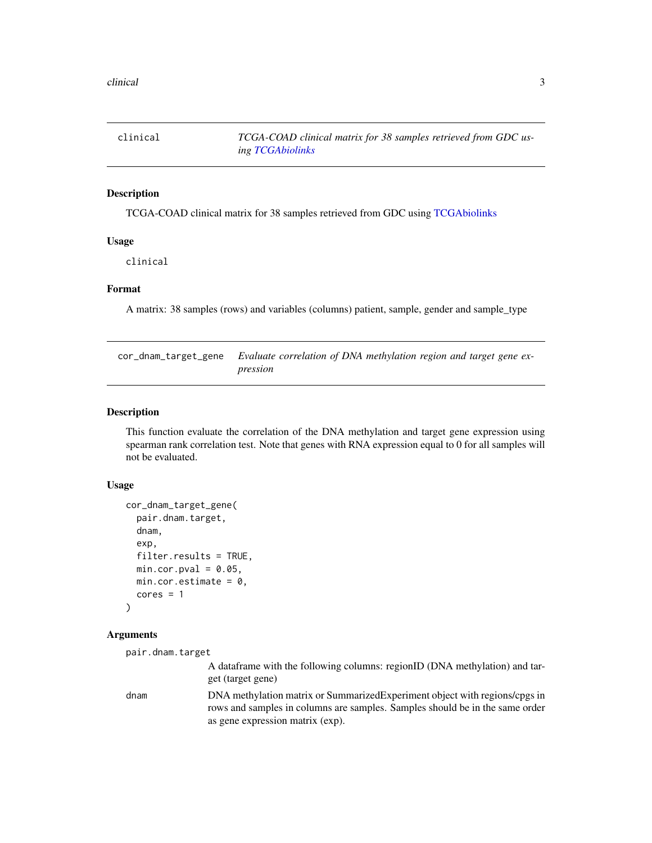<span id="page-2-0"></span>

#### Description

TCGA-COAD clinical matrix for 38 samples retrieved from GDC using [TCGAbiolinks](#page-0-0)

#### Usage

clinical

#### Format

A matrix: 38 samples (rows) and variables (columns) patient, sample, gender and sample\_type

cor\_dnam\_target\_gene *Evaluate correlation of DNA methylation region and target gene expression*

## Description

This function evaluate the correlation of the DNA methylation and target gene expression using spearman rank correlation test. Note that genes with RNA expression equal to 0 for all samples will not be evaluated.

#### Usage

```
cor_dnam_target_gene(
  pair.dnam.target,
  dnam,
  exp,
  filter.results = TRUE,
  min.cor.pval = 0.05,
 min.cor.estimate = 0,
  cores = 1)
```
## Arguments

```
pair.dnam.target
```
A dataframe with the following columns: regionID (DNA methylation) and target (target gene)

dnam DNA methylation matrix or SummarizedExperiment object with regions/cpgs in rows and samples in columns are samples. Samples should be in the same order as gene expression matrix (exp).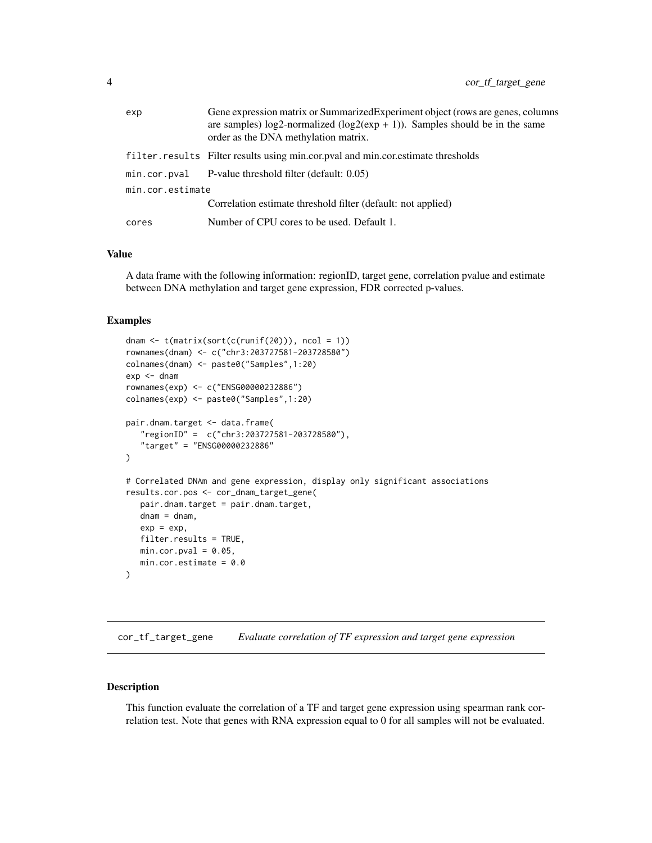<span id="page-3-0"></span>

| exp              | Gene expression matrix or Summarized Experiment object (rows are genes, columns<br>are samples) log2-normalized ( $log2(exp + 1)$ ). Samples should be in the same<br>order as the DNA methylation matrix. |
|------------------|------------------------------------------------------------------------------------------------------------------------------------------------------------------------------------------------------------|
|                  | filter.results Filter results using min.cor.pval and min.cor.estimate thresholds                                                                                                                           |
|                  | $min.cor.pval$ P-value threshold filter (default: $0.05$ )                                                                                                                                                 |
| min.cor.estimate |                                                                                                                                                                                                            |
|                  | Correlation estimate threshold filter (default: not applied)                                                                                                                                               |
| cores            | Number of CPU cores to be used. Default 1.                                                                                                                                                                 |

#### Value

A data frame with the following information: regionID, target gene, correlation pvalue and estimate between DNA methylation and target gene expression, FDR corrected p-values.

#### Examples

```
dnam \leq t(matrix(sort(c(runif(20))), ncol = 1))
rownames(dnam) <- c("chr3:203727581-203728580")
colnames(dnam) <- paste0("Samples",1:20)
exp <- dnam
rownames(exp) <- c("ENSG00000232886")
colnames(exp) <- paste0("Samples",1:20)
pair.dnam.target <- data.frame(
   "regionID" = c("chr3:203727581-203728580"),
   "target" = "ENSG00000232886"
)
# Correlated DNAm and gene expression, display only significant associations
results.cor.pos <- cor_dnam_target_gene(
   pair.dnam.target = pair.dnam.target,
   dnam = dnam,
   exp = exp,filter.results = TRUE,
   min.cor.pval = 0.05,
   min.cor.estimate = 0.0\mathcal{L}
```
cor\_tf\_target\_gene *Evaluate correlation of TF expression and target gene expression*

#### Description

This function evaluate the correlation of a TF and target gene expression using spearman rank correlation test. Note that genes with RNA expression equal to 0 for all samples will not be evaluated.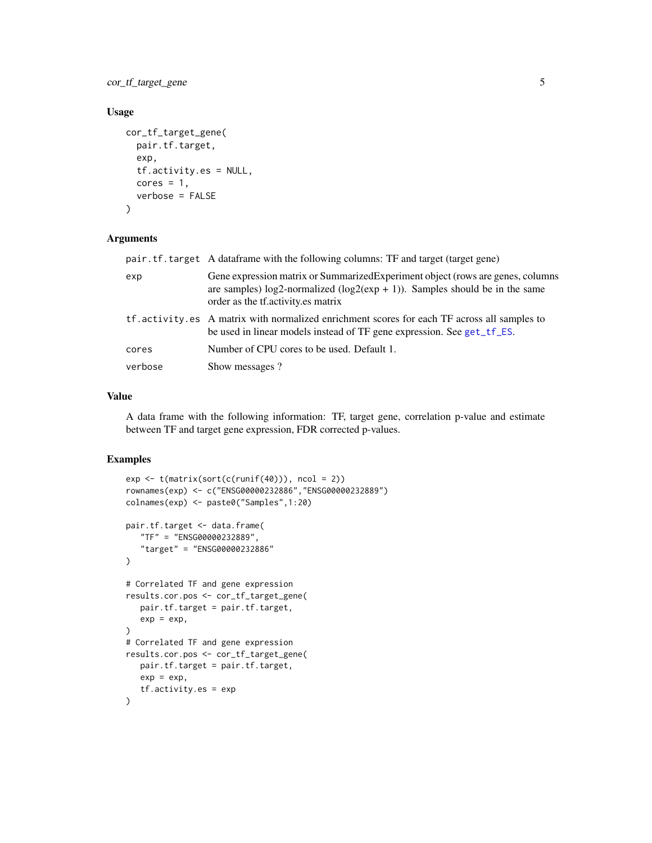<span id="page-4-0"></span>cor\_tf\_target\_gene 5

## Usage

```
cor_tf_target_gene(
  pair.tf.target,
  exp,
  tf.activity.es = NULL,
 cores = 1,
  verbose = FALSE
)
```
#### Arguments

|         | pair.tf.target A dataframe with the following columns: TF and target (target gene)                                                                                                                      |  |
|---------|---------------------------------------------------------------------------------------------------------------------------------------------------------------------------------------------------------|--|
| exp     | Gene expression matrix or Summarized Experiment object (rows are genes, columns<br>are samples) log2-normalized ( $log2(exp + 1)$ ). Samples should be in the same<br>order as the tractivity es matrix |  |
|         | tf.activity.es A matrix with normalized enrichment scores for each TF across all samples to<br>be used in linear models instead of TF gene expression. See get_tf_ES.                                   |  |
| cores   | Number of CPU cores to be used. Default 1.                                                                                                                                                              |  |
| verbose | Show messages?                                                                                                                                                                                          |  |

#### Value

A data frame with the following information: TF, target gene, correlation p-value and estimate between TF and target gene expression, FDR corrected p-values.

```
exp <- t(matrix(sort(c(runif(40))), ncol = 2))
rownames(exp) <- c("ENSG00000232886","ENSG00000232889")
colnames(exp) <- paste0("Samples",1:20)
pair.tf.target <- data.frame(
   "TF" = "ENSG00000232889",
   "target" = "ENSG00000232886"
)
# Correlated TF and gene expression
results.cor.pos <- cor_tf_target_gene(
  pair.tf.target = pair.tf.target,
   exp = exp,\mathcal{L}# Correlated TF and gene expression
results.cor.pos <- cor_tf_target_gene(
  pair.tf.target = pair.tf.target,
  exp = exp,
   tf.activity.es = exp
\lambda
```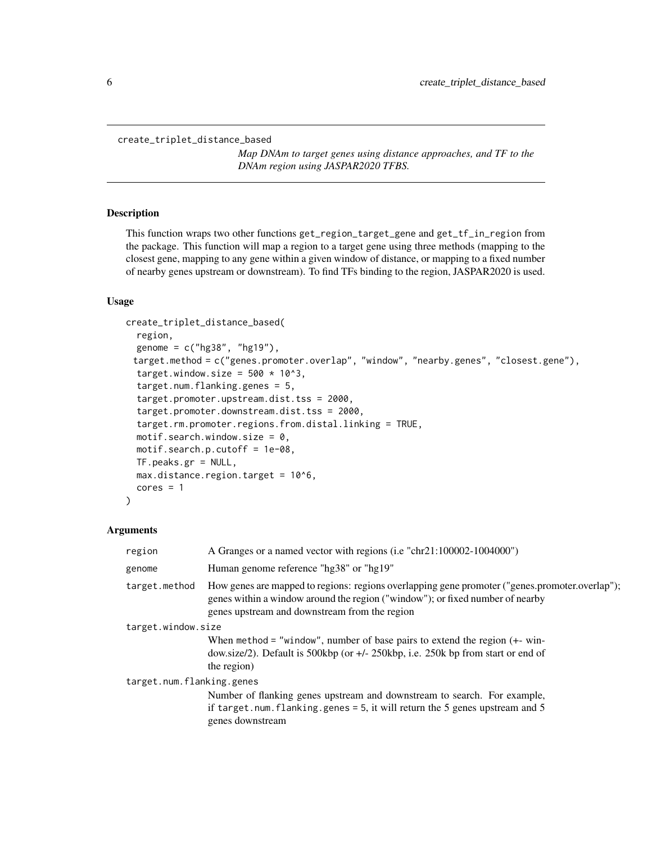<span id="page-5-0"></span>create\_triplet\_distance\_based

*Map DNAm to target genes using distance approaches, and TF to the DNAm region using JASPAR2020 TFBS.*

#### Description

This function wraps two other functions get\_region\_target\_gene and get\_tf\_in\_region from the package. This function will map a region to a target gene using three methods (mapping to the closest gene, mapping to any gene within a given window of distance, or mapping to a fixed number of nearby genes upstream or downstream). To find TFs binding to the region, JASPAR2020 is used.

## Usage

```
create_triplet_distance_based(
  region,
  genome = c("hg38", "hg19"),target.method = c("genes.promoter.overlap", "window", "nearby.genes", "closest.gene"),
  target.window.size = 500 \times 10^3,
  target.num.flanking.genes = 5,
  target.promoter.upstream.dist.tss = 2000,
  target.promoter.downstream.dist.tss = 2000,
  target.rm.promoter.regions.from.distal.linking = TRUE,
  motif.search.window.size = 0,
  motif.search.p.cutoff = 1e-08,
  TF.peaks.gr = NULL,
  max.distance.region.target = 10^6,
  cores = 1)
```
#### Arguments

| region                    | A Granges or a named vector with regions (i.e "chr21:100002-1004000")                                                                                                                                                            |  |
|---------------------------|----------------------------------------------------------------------------------------------------------------------------------------------------------------------------------------------------------------------------------|--|
| genome                    | Human genome reference "hg38" or "hg19"                                                                                                                                                                                          |  |
| target.method             | How genes are mapped to regions: regions overlapping gene promoter ("genes.promoter.overlap");<br>genes within a window around the region ("window"); or fixed number of nearby<br>genes upstream and downstream from the region |  |
| target.window.size        |                                                                                                                                                                                                                                  |  |
|                           | When method = "window", number of base pairs to extend the region $(+$ - win-<br>dow.size/2). Default is 500kbp (or $+/- 250$ kbp, i.e. 250k bp from start or end of<br>the region)                                              |  |
| target.num.flanking.genes |                                                                                                                                                                                                                                  |  |
|                           | Number of flanking genes upstream and downstream to search. For example,                                                                                                                                                         |  |
|                           | if target.num.flanking.genes = $5$ , it will return the $5$ genes upstream and $5$<br>genes downstream                                                                                                                           |  |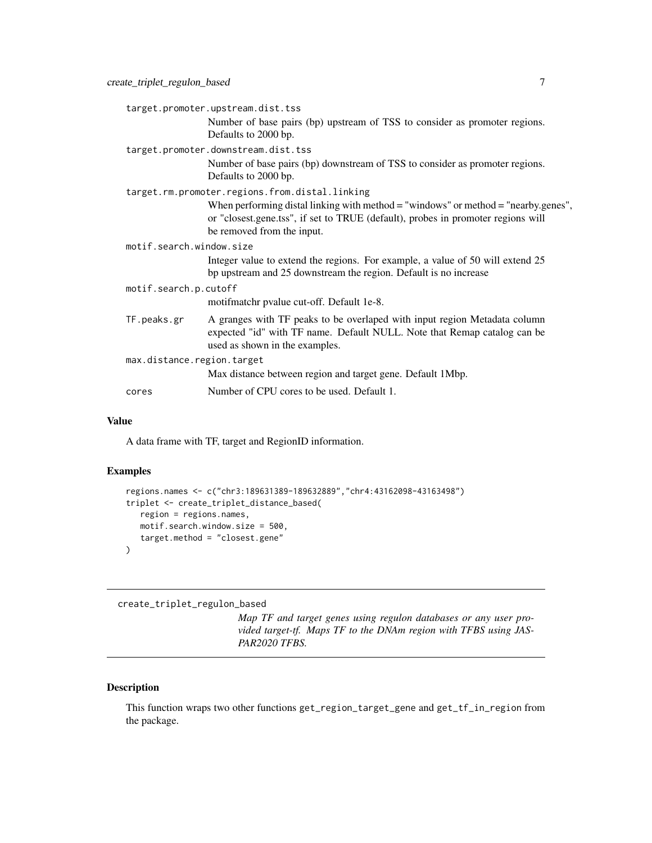<span id="page-6-0"></span>

|                                     | target.promoter.upstream.dist.tss                                                                                                                                                                        |  |
|-------------------------------------|----------------------------------------------------------------------------------------------------------------------------------------------------------------------------------------------------------|--|
|                                     | Number of base pairs (bp) upstream of TSS to consider as promoter regions.<br>Defaults to 2000 bp.                                                                                                       |  |
| target.promoter.downstream.dist.tss |                                                                                                                                                                                                          |  |
|                                     | Number of base pairs (bp) downstream of TSS to consider as promoter regions.<br>Defaults to 2000 bp.                                                                                                     |  |
|                                     | target.rm.promoter.regions.from.distal.linking                                                                                                                                                           |  |
|                                     | When performing distal linking with method $=$ "windows" or method $=$ "nearby.genes",<br>or "closest.gene.tss", if set to TRUE (default), probes in promoter regions will<br>be removed from the input. |  |
| motif.search.window.size            |                                                                                                                                                                                                          |  |
|                                     | Integer value to extend the regions. For example, a value of 50 will extend 25<br>bp upstream and 25 downstream the region. Default is no increase                                                       |  |
| motif.search.p.cutoff               |                                                                                                                                                                                                          |  |
|                                     | motifmatchr pvalue cut-off. Default 1e-8.                                                                                                                                                                |  |
| TF.peaks.gr                         | A granges with TF peaks to be overlaped with input region Metadata column<br>expected "id" with TF name. Default NULL. Note that Remap catalog can be<br>used as shown in the examples.                  |  |
| max.distance.region.target          |                                                                                                                                                                                                          |  |
|                                     | Max distance between region and target gene. Default 1Mbp.                                                                                                                                               |  |
| cores                               | Number of CPU cores to be used. Default 1.                                                                                                                                                               |  |
|                                     |                                                                                                                                                                                                          |  |

#### Value

A data frame with TF, target and RegionID information.

## Examples

```
regions.names <- c("chr3:189631389-189632889","chr4:43162098-43163498")
triplet <- create_triplet_distance_based(
  region = regions.names,
  motif.search.window.size = 500,
  target.method = "closest.gene"
)
```
create\_triplet\_regulon\_based

*Map TF and target genes using regulon databases or any user provided target-tf. Maps TF to the DNAm region with TFBS using JAS-PAR2020 TFBS.*

## Description

This function wraps two other functions get\_region\_target\_gene and get\_tf\_in\_region from the package.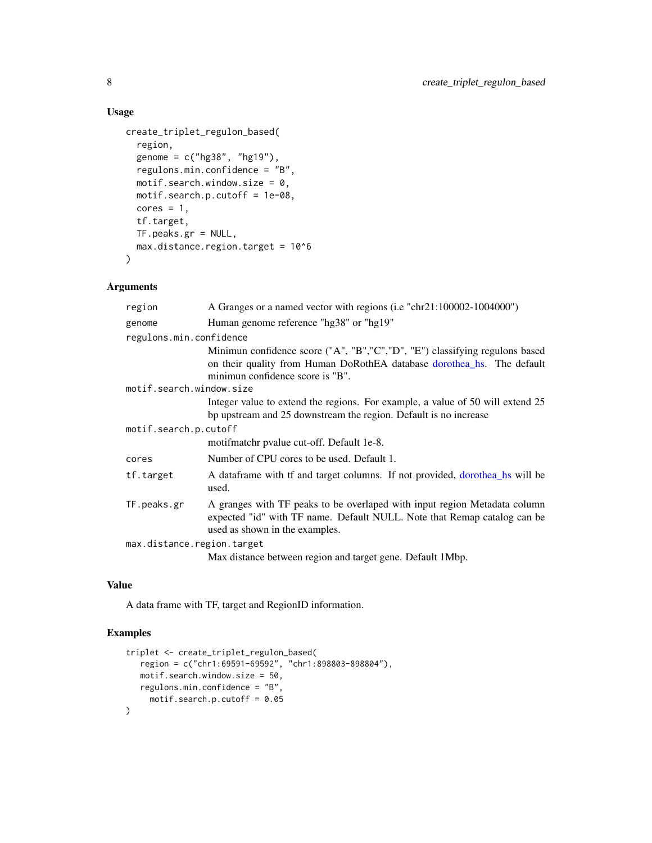## Usage

```
create_triplet_regulon_based(
  region,
  genome = c("hg38", "hg19"),
  regulons.min.confidence = "B",
 motif.search.window.size = 0,
 motif.search.p.cutoff = 1e-08,
  cores = 1,tf.target,
  TF.peaks.gr = NULL,
 max.distance.region.target = 10^6
\mathcal{L}
```
## Arguments

| region                     | A Granges or a named vector with regions (i.e "chr21:100002-1004000")                                                                                                                   |  |
|----------------------------|-----------------------------------------------------------------------------------------------------------------------------------------------------------------------------------------|--|
| genome                     | Human genome reference "hg38" or "hg19"                                                                                                                                                 |  |
| regulons.min.confidence    |                                                                                                                                                                                         |  |
|                            | Minimun confidence score ("A", "B", "C", "D", "E") classifying regulons based                                                                                                           |  |
|                            | on their quality from Human DoRothEA database dorothea_hs. The default<br>minimun confidence score is "B".                                                                              |  |
| motif.search.window.size   |                                                                                                                                                                                         |  |
|                            | Integer value to extend the regions. For example, a value of 50 will extend 25<br>bp upstream and 25 downstream the region. Default is no increase                                      |  |
| motif.search.p.cutoff      |                                                                                                                                                                                         |  |
|                            | motifmatchr pvalue cut-off. Default 1e-8.                                                                                                                                               |  |
| cores                      | Number of CPU cores to be used. Default 1.                                                                                                                                              |  |
| tf.target                  | A data frame with tf and target columns. If not provided, dorother hs will be<br>used.                                                                                                  |  |
| TF.peaks.gr                | A granges with TF peaks to be overlaped with input region Metadata column<br>expected "id" with TF name. Default NULL. Note that Remap catalog can be<br>used as shown in the examples. |  |
| max.distance.region.target |                                                                                                                                                                                         |  |
|                            | Max distance between region and target gene. Default 1Mbp.                                                                                                                              |  |

## Value

A data frame with TF, target and RegionID information.

```
triplet <- create_triplet_regulon_based(
   region = c("chr1:69591-69592", "chr1:898803-898804"),
   motif.search.window.size = 50,
   regulons.min.confidence = "B",
     motif.search.p.cutoff = 0.05
\mathcal{L}
```
<span id="page-7-0"></span>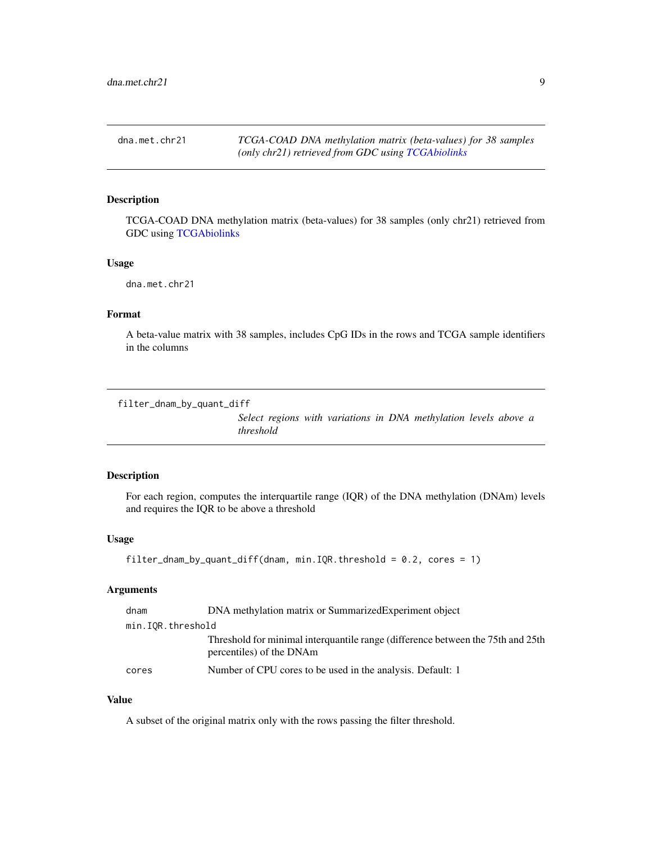<span id="page-8-0"></span>dna.met.chr21 *TCGA-COAD DNA methylation matrix (beta-values) for 38 samples (only chr21) retrieved from GDC using [TCGAbiolinks](#page-0-0)*

## Description

TCGA-COAD DNA methylation matrix (beta-values) for 38 samples (only chr21) retrieved from GDC using [TCGAbiolinks](#page-0-0)

#### Usage

dna.met.chr21

#### Format

A beta-value matrix with 38 samples, includes CpG IDs in the rows and TCGA sample identifiers in the columns

filter\_dnam\_by\_quant\_diff

*Select regions with variations in DNA methylation levels above a threshold*

## Description

For each region, computes the interquartile range (IQR) of the DNA methylation (DNAm) levels and requires the IQR to be above a threshold

#### Usage

```
filter_dnam_by_quant_diff(dnam, min.IQR.threshold = 0.2, cores = 1)
```
#### Arguments

| dnam              | DNA methylation matrix or SummarizedExperiment object                                                       |  |
|-------------------|-------------------------------------------------------------------------------------------------------------|--|
| min.IOR.threshold |                                                                                                             |  |
|                   | Threshold for minimal interquantile range (difference between the 75th and 25th<br>percentiles) of the DNAm |  |
| cores             | Number of CPU cores to be used in the analysis. Default: 1                                                  |  |

#### Value

A subset of the original matrix only with the rows passing the filter threshold.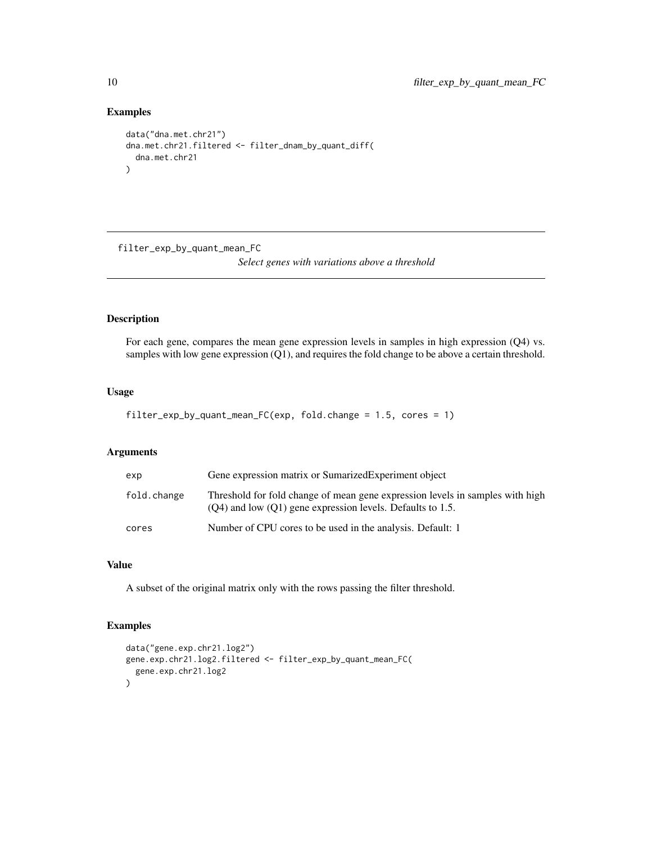## Examples

```
data("dna.met.chr21")
dna.met.chr21.filtered <- filter_dnam_by_quant_diff(
  dna.met.chr21
)
```
filter\_exp\_by\_quant\_mean\_FC

*Select genes with variations above a threshold*

## Description

For each gene, compares the mean gene expression levels in samples in high expression (Q4) vs. samples with low gene expression (Q1), and requires the fold change to be above a certain threshold.

## Usage

```
filter_exp_by_quant_mean_FC(exp, fold.change = 1.5, cores = 1)
```
## Arguments

| exp         | Gene expression matrix or Sumarized Experiment object                                                                                           |
|-------------|-------------------------------------------------------------------------------------------------------------------------------------------------|
| fold.change | Threshold for fold change of mean gene expression levels in samples with high<br>$(O4)$ and low $(O1)$ gene expression levels. Defaults to 1.5. |
| cores       | Number of CPU cores to be used in the analysis. Default: 1                                                                                      |

#### Value

A subset of the original matrix only with the rows passing the filter threshold.

```
data("gene.exp.chr21.log2")
gene.exp.chr21.log2.filtered <- filter_exp_by_quant_mean_FC(
  gene.exp.chr21.log2
)
```
<span id="page-9-0"></span>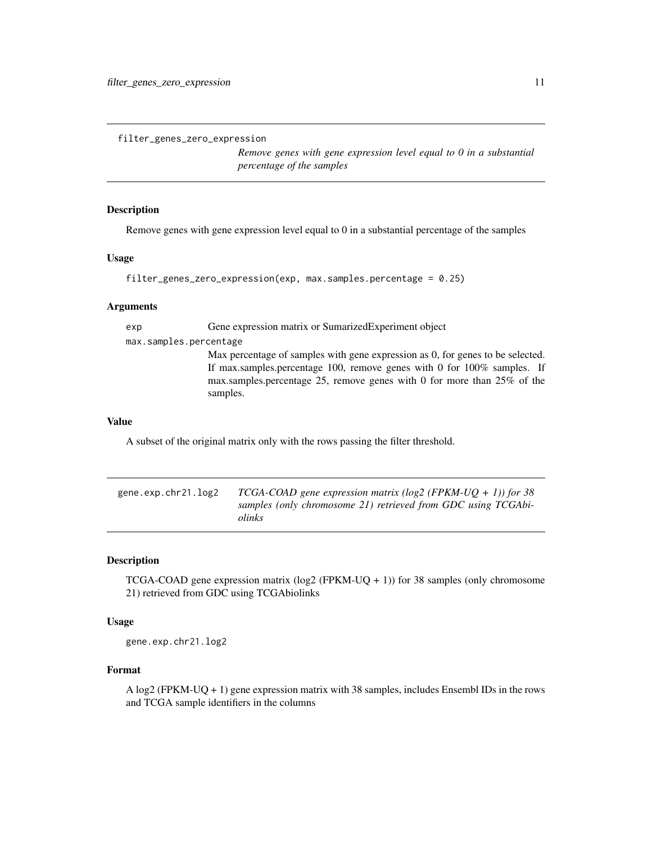<span id="page-10-0"></span>filter\_genes\_zero\_expression

*Remove genes with gene expression level equal to 0 in a substantial percentage of the samples*

## Description

Remove genes with gene expression level equal to 0 in a substantial percentage of the samples

#### Usage

```
filter_genes_zero_expression(exp, max.samples.percentage = 0.25)
```
#### Arguments

exp Gene expression matrix or SumarizedExperiment object

max.samples.percentage

Max percentage of samples with gene expression as 0, for genes to be selected. If max.samples.percentage 100, remove genes with 0 for 100% samples. If max.samples.percentage 25, remove genes with 0 for more than 25% of the samples.

#### Value

A subset of the original matrix only with the rows passing the filter threshold.

| gene.exp.chr21.log2 | TCGA-COAD gene expression matrix (log2 (FPKM-UQ + 1)) for 38  |
|---------------------|---------------------------------------------------------------|
|                     | samples (only chromosome 21) retrieved from GDC using TCGAbi- |
|                     | <i>olinks</i>                                                 |

#### Description

TCGA-COAD gene expression matrix ( $log2$  (FPKM-UQ + 1)) for 38 samples (only chromosome 21) retrieved from GDC using TCGAbiolinks

#### Usage

gene.exp.chr21.log2

## Format

A log2 (FPKM-UQ + 1) gene expression matrix with 38 samples, includes Ensembl IDs in the rows and TCGA sample identifiers in the columns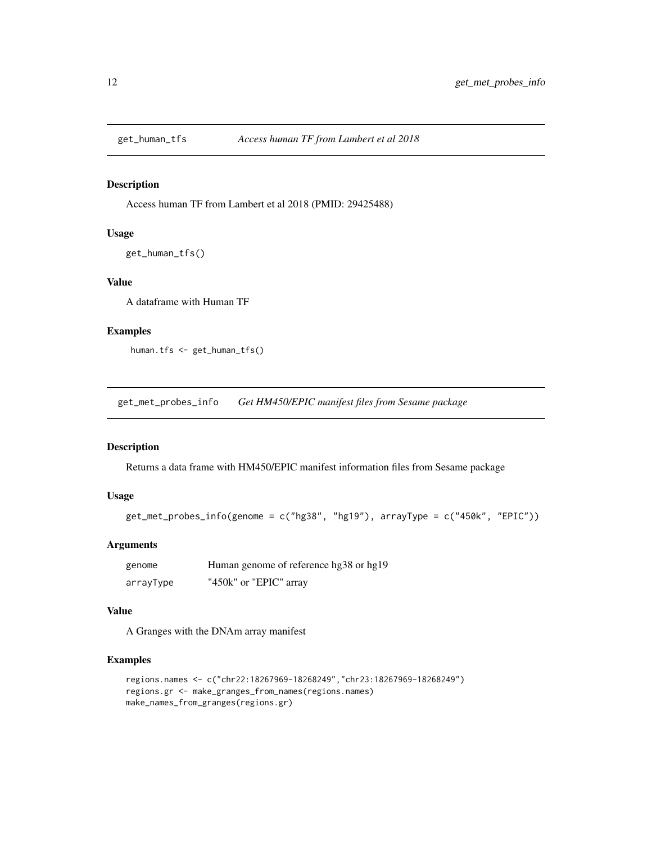<span id="page-11-0"></span>

#### Description

Access human TF from Lambert et al 2018 (PMID: 29425488)

#### Usage

```
get_human_tfs()
```
## Value

A dataframe with Human TF

#### Examples

human.tfs <- get\_human\_tfs()

get\_met\_probes\_info *Get HM450/EPIC manifest files from Sesame package*

## Description

Returns a data frame with HM450/EPIC manifest information files from Sesame package

## Usage

```
get\_met\_probes\_info(genome = c("hg38", "hg19"), arrayType = c("450k", "EPIC"))
```
## Arguments

| genome    | Human genome of reference hg38 or hg19 |
|-----------|----------------------------------------|
| arrayType | "450k" or "EPIC" array                 |

## Value

A Granges with the DNAm array manifest

```
regions.names <- c("chr22:18267969-18268249","chr23:18267969-18268249")
regions.gr <- make_granges_from_names(regions.names)
make_names_from_granges(regions.gr)
```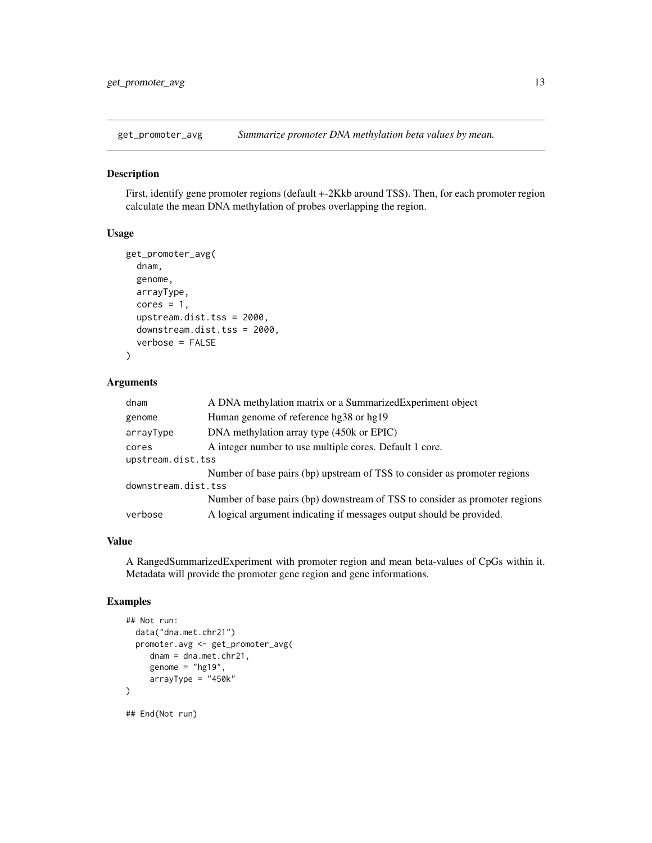<span id="page-12-0"></span>get\_promoter\_avg *Summarize promoter DNA methylation beta values by mean.*

#### Description

First, identify gene promoter regions (default +-2Kkb around TSS). Then, for each promoter region calculate the mean DNA methylation of probes overlapping the region.

## Usage

```
get_promoter_avg(
  dnam,
  genome,
  arrayType,
  cores = 1,upstream.dist.tss = 2000,
  downstream.dist.tss = 2000,
  verbose = FALSE
)
```
#### Arguments

| dnam                | A DNA methylation matrix or a SummarizedExperiment object                   |  |
|---------------------|-----------------------------------------------------------------------------|--|
| genome              | Human genome of reference hg38 or hg19                                      |  |
| arrayType           | DNA methylation array type (450k or EPIC)                                   |  |
| cores               | A integer number to use multiple cores. Default 1 core.                     |  |
| upstream.dist.tss   |                                                                             |  |
|                     | Number of base pairs (bp) upstream of TSS to consider as promoter regions   |  |
| downstream.dist.tss |                                                                             |  |
|                     | Number of base pairs (bp) downstream of TSS to consider as promoter regions |  |
| verbose             | A logical argument indicating if messages output should be provided.        |  |
|                     |                                                                             |  |

#### Value

A RangedSummarizedExperiment with promoter region and mean beta-values of CpGs within it. Metadata will provide the promoter gene region and gene informations.

```
## Not run:
 data("dna.met.chr21")
 promoter.avg <- get_promoter_avg(
    dnam = dna.met.chr21,
     genome = "hg19",
    arrayType = "450k")
## End(Not run)
```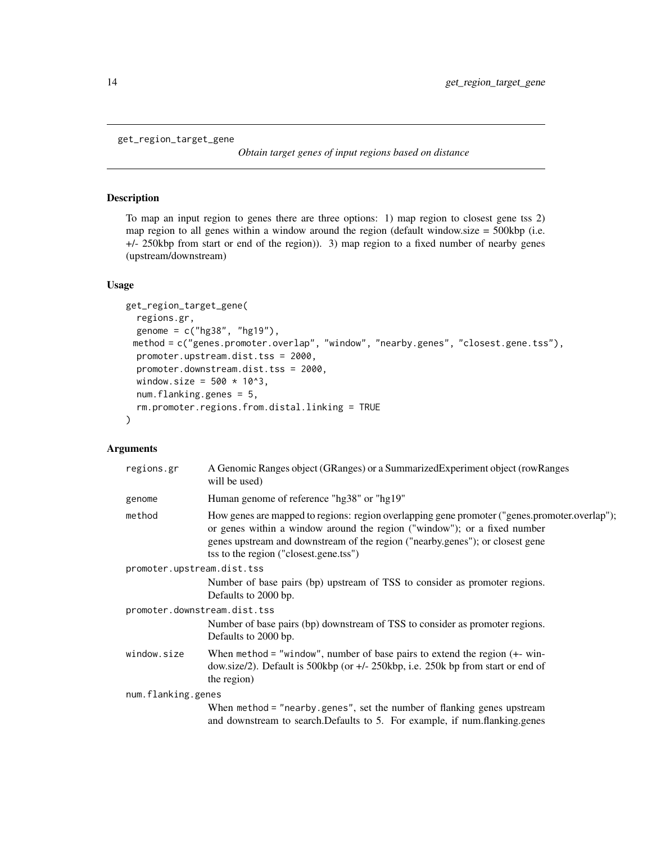```
get_region_target_gene
```
*Obtain target genes of input regions based on distance*

## Description

To map an input region to genes there are three options: 1) map region to closest gene tss 2) map region to all genes within a window around the region (default window.size  $= 500 \text{kbp}$  (i.e. +/- 250kbp from start or end of the region)). 3) map region to a fixed number of nearby genes (upstream/downstream)

#### Usage

```
get_region_target_gene(
  regions.gr,
  genome = c("hg38", "hg19"),
 method = c("genes.promoter.overlap", "window", "nearby.genes", "closest.gene.tss"),
 promoter.upstream.dist.tss = 2000,
 promoter.downstream.dist.tss = 2000,
 window.size = 500 \times 10^3,
 num.flanking.genes = 5,
  rm.promoter.regions.from.distal.linking = TRUE
)
```
#### Arguments

| regions.gr                   | A Genomic Ranges object (GRanges) or a Summarized Experiment object (row Ranges<br>will be used)                                                                                                                                                                                                     |  |
|------------------------------|------------------------------------------------------------------------------------------------------------------------------------------------------------------------------------------------------------------------------------------------------------------------------------------------------|--|
| genome                       | Human genome of reference "hg38" or "hg19"                                                                                                                                                                                                                                                           |  |
| method                       | How genes are mapped to regions: region overlapping gene promoter ("genes.promoter.overlap");<br>or genes within a window around the region ("window"); or a fixed number<br>genes upstream and downstream of the region ("nearby.genes"); or closest gene<br>tss to the region ("closest.gene.tss") |  |
| promoter.upstream.dist.tss   |                                                                                                                                                                                                                                                                                                      |  |
|                              | Number of base pairs (bp) upstream of TSS to consider as promoter regions.<br>Defaults to 2000 bp.                                                                                                                                                                                                   |  |
| promoter.downstream.dist.tss |                                                                                                                                                                                                                                                                                                      |  |
|                              | Number of base pairs (bp) downstream of TSS to consider as promoter regions.<br>Defaults to 2000 bp.                                                                                                                                                                                                 |  |
| window.size                  | When method = "window", number of base pairs to extend the region $(+$ win-<br>dow.size/2). Default is 500kbp (or $+/- 250k$ bp, i.e. 250k bp from start or end of<br>the region)                                                                                                                    |  |
| num.flanking.genes           |                                                                                                                                                                                                                                                                                                      |  |
|                              | When method = "nearby.genes", set the number of flanking genes upstream<br>and downstream to search. Defaults to 5. For example, if num. flanking.genes                                                                                                                                              |  |
|                              |                                                                                                                                                                                                                                                                                                      |  |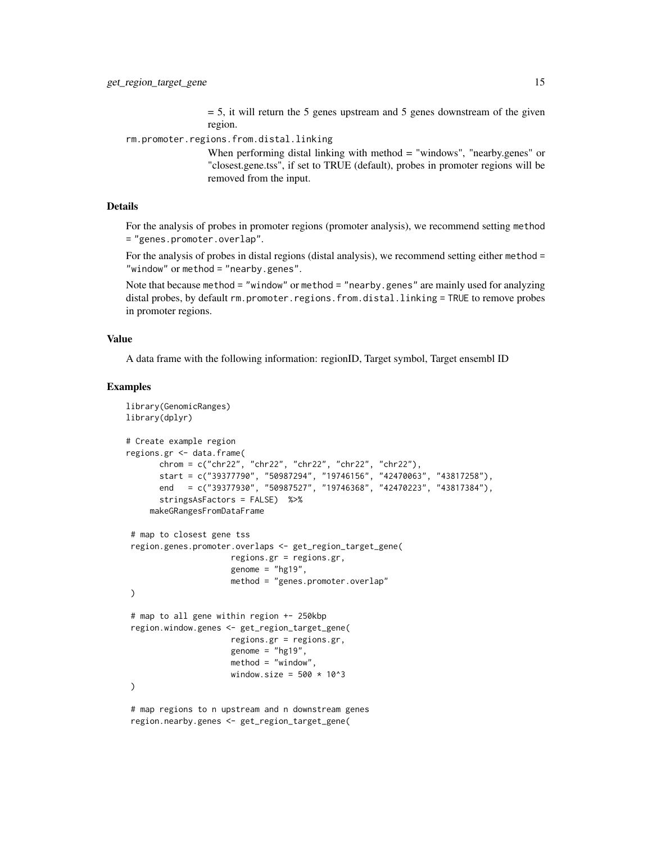$= 5$ , it will return the 5 genes upstream and 5 genes downstream of the given region.

rm.promoter.regions.from.distal.linking

When performing distal linking with method = "windows", "nearby.genes" or "closest.gene.tss", if set to TRUE (default), probes in promoter regions will be removed from the input.

## Details

For the analysis of probes in promoter regions (promoter analysis), we recommend setting method = "genes.promoter.overlap".

For the analysis of probes in distal regions (distal analysis), we recommend setting either method = "window" or method = "nearby.genes".

Note that because method = "window" or method = "nearby.genes" are mainly used for analyzing distal probes, by default rm.promoter.regions.from.distal.linking = TRUE to remove probes in promoter regions.

#### Value

A data frame with the following information: regionID, Target symbol, Target ensembl ID

```
library(GenomicRanges)
library(dplyr)
# Create example region
regions.gr <- data.frame(
       chrom = c("chr22", "chr22", "chr22", "chr22", "chr22"),
       start = c("39377790", "50987294", "19746156", "42470063", "43817258"),
       end = c("39377930", "50987527", "19746368", "42470223", "43817384"),
       stringsAsFactors = FALSE) %>%
     makeGRangesFromDataFrame
 # map to closest gene tss
 region.genes.promoter.overlaps <- get_region_target_gene(
                     regions.gr = regions.gr,
                      genome = "hg19",
                      method = "genes.promoter.overlap"
)
 # map to all gene within region +- 250kbp
 region.window.genes <- get_region_target_gene(
                      regions.gr = regions.gr,
                      genome = "hg19",method = "window"window.size = 500 \times 10^{2}3\lambda# map regions to n upstream and n downstream genes
 region.nearby.genes <- get_region_target_gene(
```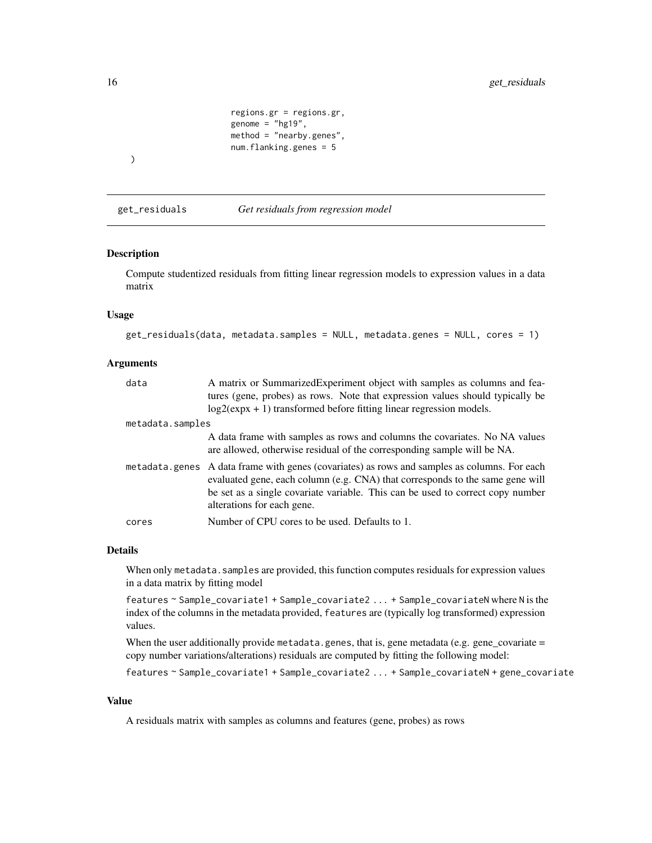```
regions.gr = regions.gr,
genome = "hg19",method = "nearby.genes",
num.flanking.genes = 5
```
<span id="page-15-0"></span>)

get\_residuals *Get residuals from regression model*

## Description

Compute studentized residuals from fitting linear regression models to expression values in a data matrix

## Usage

```
get_residuals(data, metadata.samples = NULL, metadata.genes = NULL, cores = 1)
```
## Arguments

| data             | A matrix or Summarized Experiment object with samples as columns and fea-<br>tures (gene, probes) as rows. Note that expression values should typically be                                                                                                                                    |
|------------------|-----------------------------------------------------------------------------------------------------------------------------------------------------------------------------------------------------------------------------------------------------------------------------------------------|
|                  | $log2(expx + 1)$ transformed before fitting linear regression models.                                                                                                                                                                                                                         |
| metadata.samples |                                                                                                                                                                                                                                                                                               |
|                  | A data frame with samples as rows and columns the covariates. No NA values<br>are allowed, otherwise residual of the corresponding sample will be NA.                                                                                                                                         |
|                  | metadata.genes A data frame with genes (covariates) as rows and samples as columns. For each<br>evaluated gene, each column (e.g. CNA) that corresponds to the same gene will<br>be set as a single covariate variable. This can be used to correct copy number<br>alterations for each gene. |
| cores            | Number of CPU cores to be used. Defaults to 1.                                                                                                                                                                                                                                                |

#### Details

When only metadata. samples are provided, this function computes residuals for expression values in a data matrix by fitting model

features ~ Sample\_covariate1 + Sample\_covariate2 ... + Sample\_covariateN where N is the index of the columns in the metadata provided, features are (typically log transformed) expression values.

When the user additionally provide metadata.genes, that is, gene metadata (e.g. gene\_covariate  $=$ copy number variations/alterations) residuals are computed by fitting the following model:

features ~ Sample\_covariate1 + Sample\_covariate2 ... + Sample\_covariateN + gene\_covariate

#### Value

A residuals matrix with samples as columns and features (gene, probes) as rows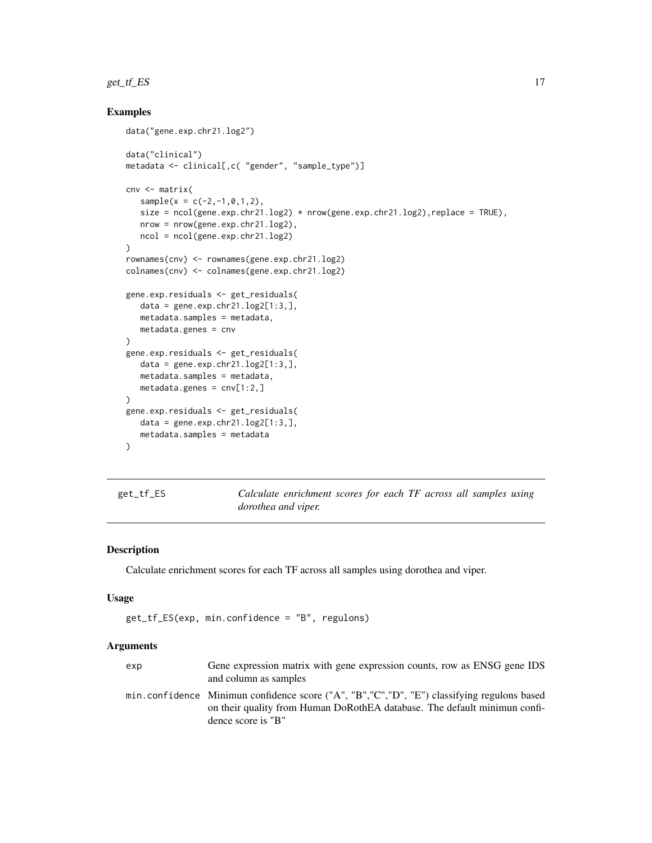#### <span id="page-16-0"></span> $get_t f E$ S 17

## Examples

```
data("gene.exp.chr21.log2")
data("clinical")
metadata <- clinical[,c( "gender", "sample_type")]
cnv <- matrix(
   sample(x = c(-2, -1, 0, 1, 2),
   size = ncol(gene.exp chr21.log2) * nrow(gene.exp chr21.log2) , replace = TRUE),nrow = nrow(gene.exp.chr21.log2),
  ncol = ncol(gene.exp.chr21.log2)
\mathcal{L}rownames(cnv) <- rownames(gene.exp.chr21.log2)
colnames(cnv) <- colnames(gene.exp.chr21.log2)
gene.exp.residuals <- get_residuals(
   data = gene.exp.chr21.log2[1:3,],metadata.samples = metadata,
   metadata.genes = cnv
\mathcal{L}gene.exp.residuals <- get_residuals(
  data = gene.exp.chr21.log2[1:3,],metadata.samples = metadata,
   metadata.genes = cnv[1:2,]
)
gene.exp.residuals <- get_residuals(
   data = gene.exp.chr21.log2[1:3,],metadata.samples = metadata
)
```
<span id="page-16-1"></span>get\_tf\_ES *Calculate enrichment scores for each TF across all samples using dorothea and viper.*

## Description

Calculate enrichment scores for each TF across all samples using dorothea and viper.

#### Usage

```
get_tf_ES(exp, min.confidence = "B", regulons)
```
#### Arguments

| exp | Gene expression matrix with gene expression counts, row as ENSG gene IDS                     |
|-----|----------------------------------------------------------------------------------------------|
|     | and column as samples                                                                        |
|     | min.confidence Minimun confidence score ("A", "B", "C", "D", "E") classifying regulons based |
|     | on their quality from Human DoRothEA database. The default minimun confi-                    |
|     | dence score is "B"                                                                           |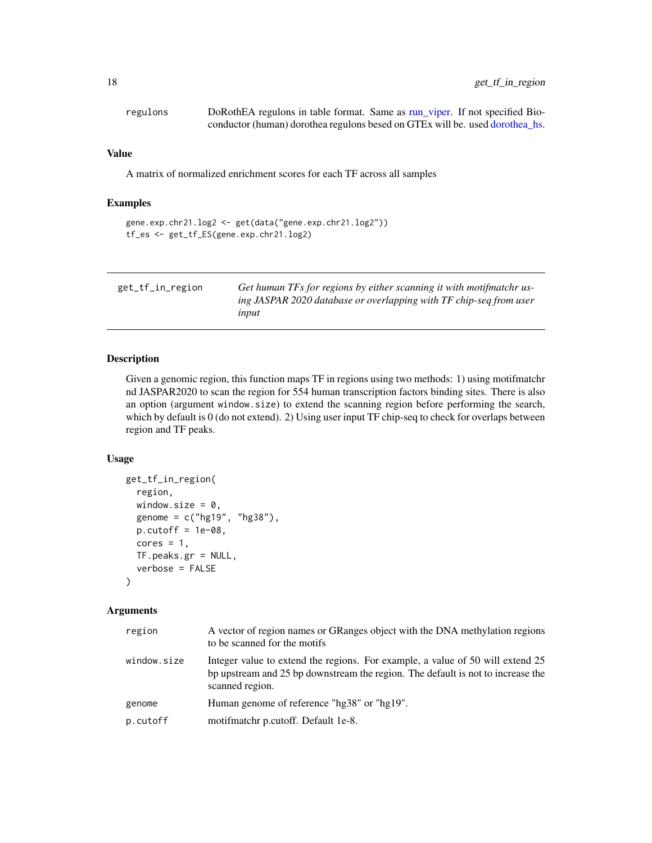<span id="page-17-0"></span>

| regulons | DoRothEA regulons in table format. Same as run_viper. If not specified Bio-  |
|----------|------------------------------------------------------------------------------|
|          | conductor (human) dorothea regulons besed on GTEx will be. used dorothea_hs. |

#### Value

A matrix of normalized enrichment scores for each TF across all samples

### Examples

```
gene.exp.chr21.log2 <- get(data("gene.exp.chr21.log2"))
tf_es <- get_tf_ES(gene.exp.chr21.log2)
```

| get_tf_in_region | Get human TFs for regions by either scanning it with motifinatchr us- |
|------------------|-----------------------------------------------------------------------|
|                  | ing JASPAR 2020 database or overlapping with TF chip-seq from user    |
|                  | input                                                                 |

#### Description

Given a genomic region, this function maps TF in regions using two methods: 1) using motifmatchr nd JASPAR2020 to scan the region for 554 human transcription factors binding sites. There is also an option (argument window.size) to extend the scanning region before performing the search, which by default is 0 (do not extend). 2) Using user input TF chip-seq to check for overlaps between region and TF peaks.

## Usage

```
get_tf_in_region(
  region,
  window.size = 0,
  genome = c("hg19", "hg38"),
 p.cutoff = 1e-08,
  cores = 1,
  TF.peaks.gr = NULL,
  verbose = FALSE
\lambda
```
## Arguments

| region      | A vector of region names or GRanges object with the DNA methylation regions<br>to be scanned for the motifs                                                                          |
|-------------|--------------------------------------------------------------------------------------------------------------------------------------------------------------------------------------|
| window.size | Integer value to extend the regions. For example, a value of 50 will extend 25<br>bp upstream and 25 bp downstream the region. The default is not to increase the<br>scanned region. |
| genome      | Human genome of reference "hg38" or "hg19".                                                                                                                                          |
| p.cutoff    | motifmatchr p.cutoff. Default 1e-8.                                                                                                                                                  |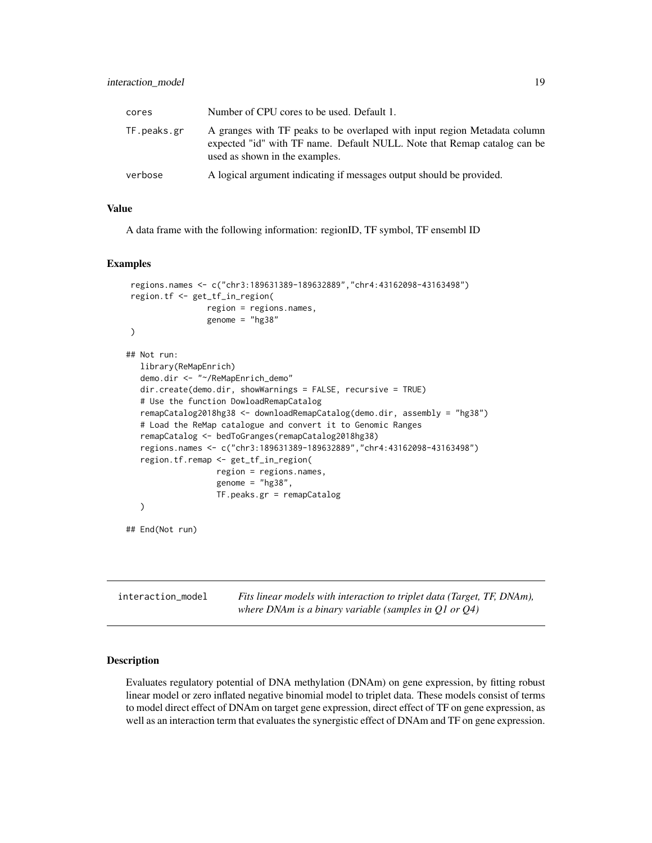<span id="page-18-0"></span>

| cores       | Number of CPU cores to be used. Default 1.                                                                                                                                              |
|-------------|-----------------------------------------------------------------------------------------------------------------------------------------------------------------------------------------|
| TF.peaks.gr | A granges with TF peaks to be overlaped with input region Metadata column<br>expected "id" with TF name. Default NULL. Note that Remap catalog can be<br>used as shown in the examples. |
| verbose     | A logical argument indicating if messages output should be provided.                                                                                                                    |

## Value

A data frame with the following information: regionID, TF symbol, TF ensembl ID

#### Examples

```
regions.names <- c("chr3:189631389-189632889","chr4:43162098-43163498")
region.tf <- get_tf_in_region(
                 region = regions.names,
                 genome = "hg38"
)
## Not run:
  library(ReMapEnrich)
  demo.dir <- "~/ReMapEnrich_demo"
  dir.create(demo.dir, showWarnings = FALSE, recursive = TRUE)
  # Use the function DowloadRemapCatalog
  remapCatalog2018hg38 <- downloadRemapCatalog(demo.dir, assembly = "hg38")
  # Load the ReMap catalogue and convert it to Genomic Ranges
  remapCatalog <- bedToGranges(remapCatalog2018hg38)
  regions.names <- c("chr3:189631389-189632889","chr4:43162098-43163498")
  region.tf.remap <- get_tf_in_region(
                  region = regions.names,
                   genome = "hg38",
                   TF.peaks.gr = remapCatalog
  )
## End(Not run)
```

| interaction model | Fits linear models with interaction to triplet data (Target, TF, DNAm), |
|-------------------|-------------------------------------------------------------------------|
|                   | where DNAm is a binary variable (samples in O1 or O4)                   |

## Description

Evaluates regulatory potential of DNA methylation (DNAm) on gene expression, by fitting robust linear model or zero inflated negative binomial model to triplet data. These models consist of terms to model direct effect of DNAm on target gene expression, direct effect of TF on gene expression, as well as an interaction term that evaluates the synergistic effect of DNAm and TF on gene expression.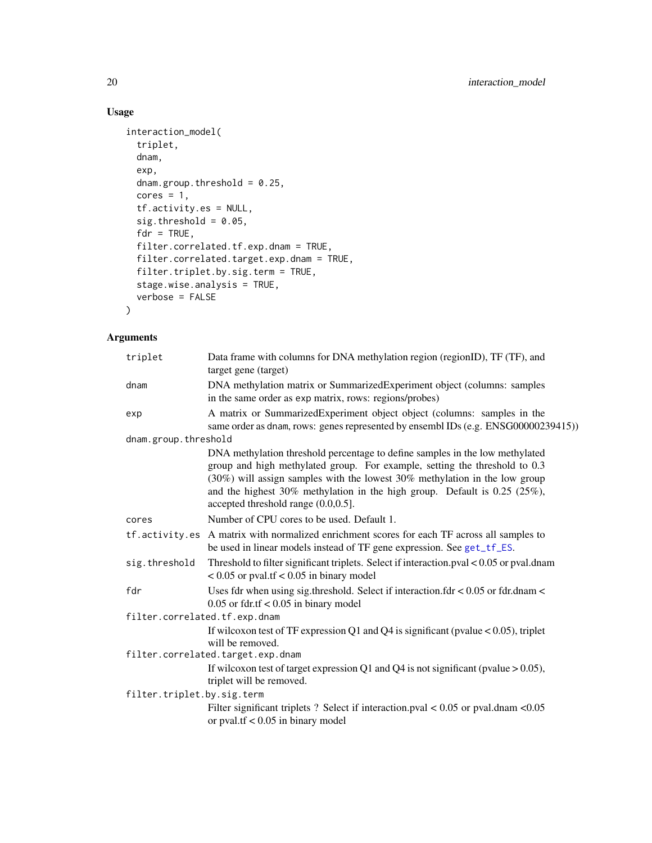## Usage

```
interaction_model(
 triplet,
 dnam,
  exp,
 dnam.group.threshold = 0.25,
 cores = 1,tf.activity.es = NULL,
  sig.threshold = 0.05,fdr = TRUE,filter.correlated.tf.exp.dnam = TRUE,
 filter.correlated.target.exp.dnam = TRUE,
 filter.triplet.by.sig.term = TRUE,
 stage.wise.analysis = TRUE,
 verbose = FALSE
)
```
## Arguments

| triplet                       | Data frame with columns for DNA methylation region (regionID), TF (TF), and<br>target gene (target)                                                                                                                                                                                                                                                                |
|-------------------------------|--------------------------------------------------------------------------------------------------------------------------------------------------------------------------------------------------------------------------------------------------------------------------------------------------------------------------------------------------------------------|
| dnam                          | DNA methylation matrix or SummarizedExperiment object (columns: samples<br>in the same order as exp matrix, rows: regions/probes)                                                                                                                                                                                                                                  |
| exp                           | A matrix or SummarizedExperiment object object (columns: samples in the<br>same order as dnam, rows: genes represented by ensembl IDs (e.g. ENSG00000239415))                                                                                                                                                                                                      |
| dnam.group.threshold          |                                                                                                                                                                                                                                                                                                                                                                    |
|                               | DNA methylation threshold percentage to define samples in the low methylated<br>group and high methylated group. For example, setting the threshold to 0.3<br>$(30\%)$ will assign samples with the lowest 30% methylation in the low group<br>and the highest $30\%$ methylation in the high group. Default is 0.25 (25%),<br>accepted threshold range (0.0,0.5]. |
| cores                         | Number of CPU cores to be used. Default 1.                                                                                                                                                                                                                                                                                                                         |
|                               | tf.activity.es A matrix with normalized enrichment scores for each TF across all samples to<br>be used in linear models instead of TF gene expression. See get_tf_ES.                                                                                                                                                                                              |
| sig.threshold                 | Threshold to filter significant triplets. Select if interaction.pval $< 0.05$ or pval.dnam<br>$< 0.05$ or pval.tf $< 0.05$ in binary model                                                                                                                                                                                                                         |
| fdr                           | Uses fdr when using sig.threshold. Select if interaction.fdr $< 0.05$ or fdr.dnam $<$<br>$0.05$ or fdr.tf < 0.05 in binary model                                                                                                                                                                                                                                   |
| filter.correlated.tf.exp.dnam |                                                                                                                                                                                                                                                                                                                                                                    |
|                               | If wilcoxon test of TF expression Q1 and Q4 is significant (pvalue $< 0.05$ ), triplet<br>will be removed.                                                                                                                                                                                                                                                         |
|                               | filter.correlated.target.exp.dnam                                                                                                                                                                                                                                                                                                                                  |
|                               | If wilcoxon test of target expression Q1 and Q4 is not significant (pvalue $> 0.05$ ),<br>triplet will be removed.                                                                                                                                                                                                                                                 |
| filter.triplet.by.sig.term    |                                                                                                                                                                                                                                                                                                                                                                    |
|                               | Filter significant triplets ? Select if interaction.pval $< 0.05$ or pval.dnam $< 0.05$<br>or pval.tf $< 0.05$ in binary model                                                                                                                                                                                                                                     |

<span id="page-19-0"></span>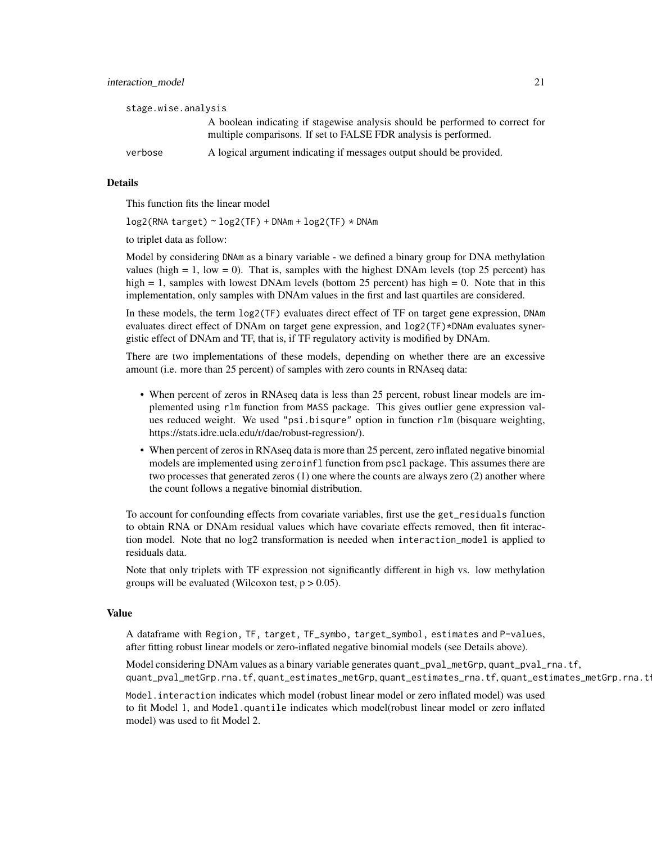| stage.wise.analysis |                                                                                                                                                   |
|---------------------|---------------------------------------------------------------------------------------------------------------------------------------------------|
|                     | A boolean indicating if stagewise analysis should be performed to correct for<br>multiple comparisons. If set to FALSE FDR analysis is performed. |
| verbose             | A logical argument indicating if messages output should be provided.                                                                              |

#### Details

This function fits the linear model

log2(RNA target) ~ log2(TF) + DNAm + log2(TF) \* DNAm

to triplet data as follow:

Model by considering DNAm as a binary variable - we defined a binary group for DNA methylation values (high  $= 1$ , low  $= 0$ ). That is, samples with the highest DNAm levels (top 25 percent) has high  $= 1$ , samples with lowest DNAm levels (bottom 25 percent) has high  $= 0$ . Note that in this implementation, only samples with DNAm values in the first and last quartiles are considered.

In these models, the term log2(TF) evaluates direct effect of TF on target gene expression, DNAm evaluates direct effect of DNAm on target gene expression, and  $log2(TF)*DNAm$  evaluates synergistic effect of DNAm and TF, that is, if TF regulatory activity is modified by DNAm.

There are two implementations of these models, depending on whether there are an excessive amount (i.e. more than 25 percent) of samples with zero counts in RNAseq data:

- When percent of zeros in RNAseq data is less than 25 percent, robust linear models are implemented using rlm function from MASS package. This gives outlier gene expression values reduced weight. We used "psi.bisqure" option in function rlm (bisquare weighting, https://stats.idre.ucla.edu/r/dae/robust-regression/).
- When percent of zeros in RNAseq data is more than 25 percent, zero inflated negative binomial models are implemented using zeroinfl function from pscl package. This assumes there are two processes that generated zeros (1) one where the counts are always zero (2) another where the count follows a negative binomial distribution.

To account for confounding effects from covariate variables, first use the get\_residuals function to obtain RNA or DNAm residual values which have covariate effects removed, then fit interaction model. Note that no log2 transformation is needed when interaction\_model is applied to residuals data.

Note that only triplets with TF expression not significantly different in high vs. low methylation groups will be evaluated (Wilcoxon test,  $p > 0.05$ ).

## Value

A dataframe with Region, TF, target, TF\_symbo, target\_symbol, estimates and P-values, after fitting robust linear models or zero-inflated negative binomial models (see Details above).

Model considering DNAm values as a binary variable generates quant\_pval\_metGrp, quant\_pval\_rna.tf, quant\_pval\_metGrp.rna.tf, quant\_estimates\_metGrp, quant\_estimates\_rna.tf, quant\_estimates\_metGrp.rna.tf.

Model.interaction indicates which model (robust linear model or zero inflated model) was used to fit Model 1, and Model.quantile indicates which model(robust linear model or zero inflated model) was used to fit Model 2.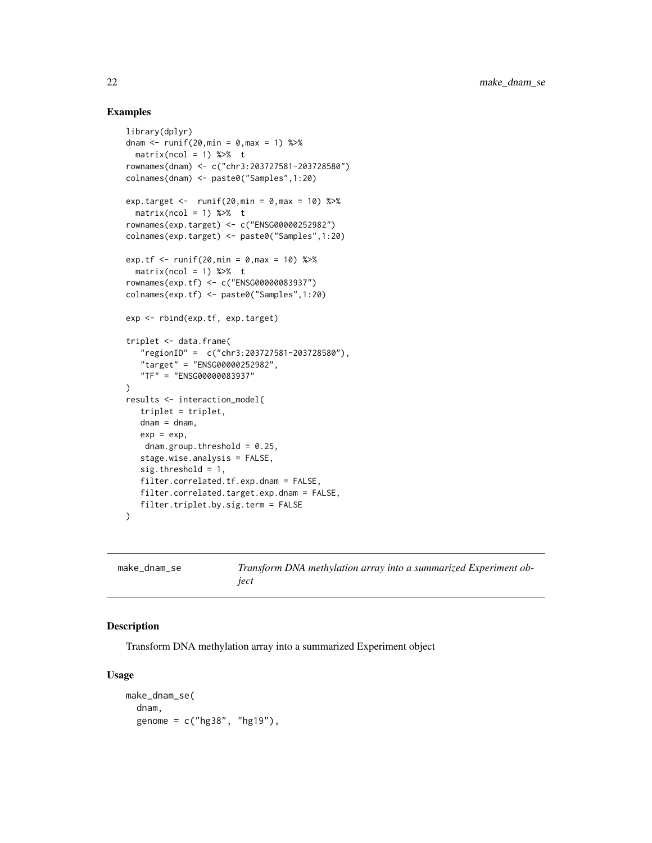#### Examples

```
library(dplyr)
dnam \le runif(20, min = 0, max = 1) %>%
  matrix(ncol = 1) %rownames(dnam) <- c("chr3:203727581-203728580")
colnames(dnam) <- paste0("Samples",1:20)
exp.target <- runif(20,min = 0, \text{max} = 10) %>%
  matrix(ncol = 1) %rownames(exp.target) <- c("ENSG00000252982")
colnames(exp.target) <- paste0("Samples",1:20)
exp.tf <- runit(20, min = 0, max = 10) %>%
  matrix(ncol = 1) %rownames(exp.tf) <- c("ENSG00000083937")
colnames(exp.tf) <- paste0("Samples",1:20)
exp <- rbind(exp.tf, exp.target)
triplet <- data.frame(
   "regionID" = c("chr3:203727581-203728580"),
   "target" = "ENSG00000252982",
   "TF" = "ENSG00000083937"
)
results <- interaction_model(
   triplet = triplet,
   dnam = dnam,
   exp = exp,dnam.group.threshold = 0.25,
   stage.wise.analysis = FALSE,
   sig.threshold = 1,
   filter.correlated.tf.exp.dnam = FALSE,
   filter.correlated.target.exp.dnam = FALSE,
   filter.triplet.by.sig.term = FALSE
\mathcal{L}
```
make\_dnam\_se *Transform DNA methylation array into a summarized Experiment object*

## Description

Transform DNA methylation array into a summarized Experiment object

#### Usage

```
make_dnam_se(
  dnam,
  genome = c("hg38", "hg19"),
```
<span id="page-21-0"></span>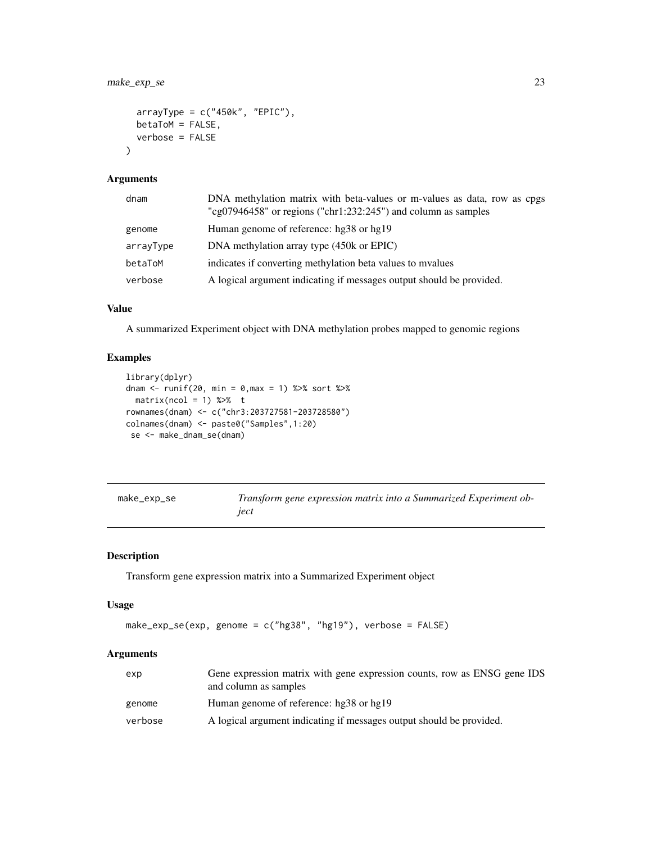<span id="page-22-0"></span>make\_exp\_se 23

```
arrayType = c("450k", "EPIC"),betaToM = FALSE,
  verbose = FALSE
\mathcal{L}
```
#### Arguments

| dnam      | DNA methylation matrix with beta-values or m-values as data, row as cpgs<br>"cg07946458" or regions ("chr1:232:245") and column as samples |
|-----------|--------------------------------------------------------------------------------------------------------------------------------------------|
| genome    | Human genome of reference: hg38 or hg19                                                                                                    |
| arrayType | DNA methylation array type (450k or EPIC)                                                                                                  |
| betaToM   | indicates if converting methylation beta values to myalues                                                                                 |
| verbose   | A logical argument indicating if messages output should be provided.                                                                       |

#### Value

A summarized Experiment object with DNA methylation probes mapped to genomic regions

## Examples

```
library(dplyr)
dnam <- runif(20, min = 0,max = 1) %>% sort %>%
  matrix(ncol = 1) % %>% t
rownames(dnam) <- c("chr3:203727581-203728580")
colnames(dnam) <- paste0("Samples",1:20)
 se <- make_dnam_se(dnam)
```

| make_exp_se |  |
|-------------|--|
|-------------|--|

make\_exp\_se *Transform gene expression matrix into a Summarized Experiment object*

## Description

Transform gene expression matrix into a Summarized Experiment object

#### Usage

```
make_exp_se(exp, genome = c("hg38", "hg19"), verbose = FALSE)
```
## Arguments

| exp     | Gene expression matrix with gene expression counts, row as ENSG gene IDS<br>and column as samples |
|---------|---------------------------------------------------------------------------------------------------|
| genome  | Human genome of reference: hg38 or hg19                                                           |
| verbose | A logical argument indicating if messages output should be provided.                              |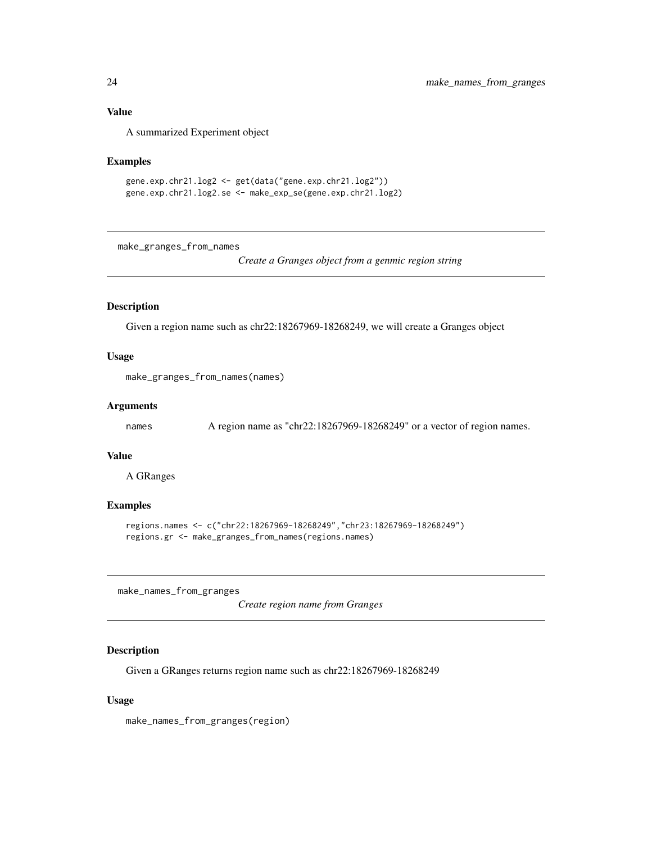#### <span id="page-23-0"></span>Value

A summarized Experiment object

#### Examples

```
gene.exp.chr21.log2 <- get(data("gene.exp.chr21.log2"))
gene.exp.chr21.log2.se <- make_exp_se(gene.exp.chr21.log2)
```
make\_granges\_from\_names

*Create a Granges object from a genmic region string*

## Description

Given a region name such as chr22:18267969-18268249, we will create a Granges object

## Usage

```
make_granges_from_names(names)
```
#### Arguments

```
names A region name as "chr22:18267969-18268249" or a vector of region names.
```
#### Value

A GRanges

#### Examples

```
regions.names <- c("chr22:18267969-18268249","chr23:18267969-18268249")
regions.gr <- make_granges_from_names(regions.names)
```
make\_names\_from\_granges

*Create region name from Granges*

## Description

Given a GRanges returns region name such as chr22:18267969-18268249

#### Usage

make\_names\_from\_granges(region)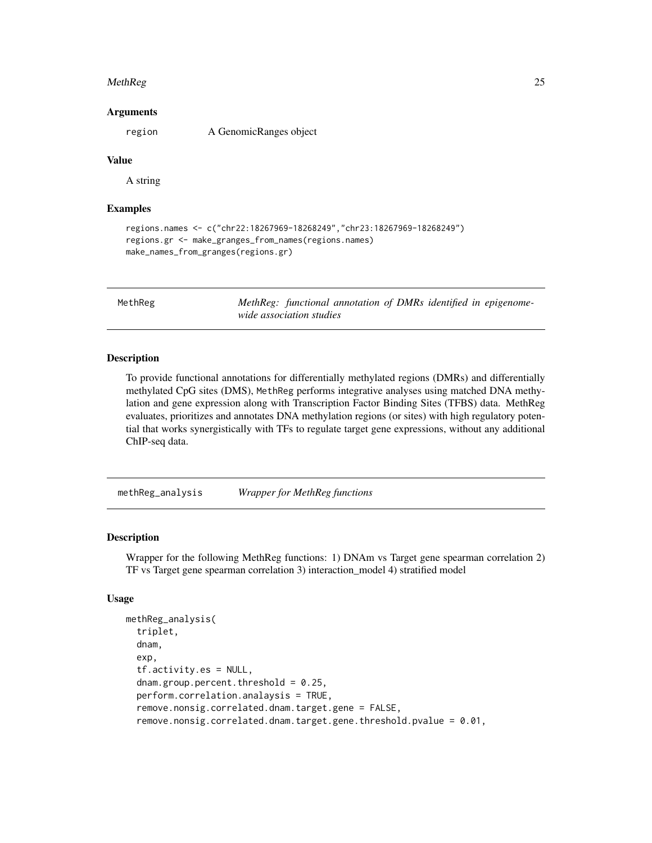#### <span id="page-24-0"></span>MethReg 25

#### Arguments

region A GenomicRanges object

## Value

A string

## Examples

```
regions.names <- c("chr22:18267969-18268249","chr23:18267969-18268249")
regions.gr <- make_granges_from_names(regions.names)
make_names_from_granges(regions.gr)
```
MethReg *MethReg: functional annotation of DMRs identified in epigenomewide association studies*

#### Description

To provide functional annotations for differentially methylated regions (DMRs) and differentially methylated CpG sites (DMS), MethReg performs integrative analyses using matched DNA methylation and gene expression along with Transcription Factor Binding Sites (TFBS) data. MethReg evaluates, prioritizes and annotates DNA methylation regions (or sites) with high regulatory potential that works synergistically with TFs to regulate target gene expressions, without any additional ChIP-seq data.

methReg\_analysis *Wrapper for MethReg functions*

## **Description**

Wrapper for the following MethReg functions: 1) DNAm vs Target gene spearman correlation 2) TF vs Target gene spearman correlation 3) interaction\_model 4) stratified model

#### Usage

```
methReg_analysis(
  triplet,
  dnam,
  exp,
  tf.activity.es = NULL,
  dnam.group.percent.threshold = 0.25,
  perform.correlation.analaysis = TRUE,
  remove.nonsig.correlated.dnam.target.gene = FALSE,
  remove.nonsig.correlated.dnam.target.gene.threshold.pvalue = 0.01,
```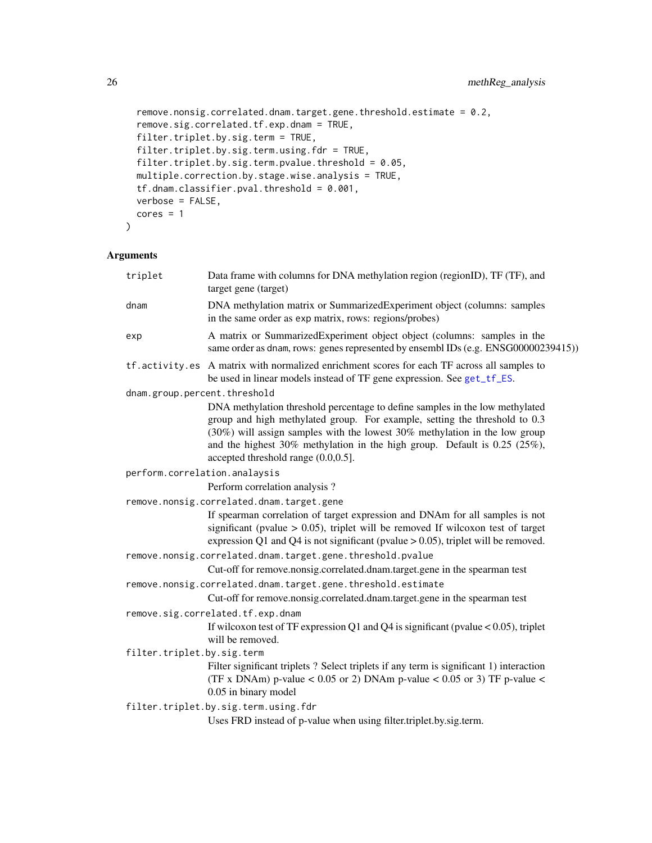```
remove.nonsig.correlated.dnam.target.gene.threshold.estimate = 0.2,
remove.sig.correlated.tf.exp.dnam = TRUE,
filter.triplet.by.sig.term = TRUE,
filter.triplet.by.sig.term.using.fdr = TRUE,
filter.triplet.by.sig.term.pvalue.threshold = 0.05,
multiple.correction.by.stage.wise.analysis = TRUE,
tf.dnam.classifier.pval.threshold = 0.001,
verbose = FALSE,
cores = 1
```
## Arguments

 $\mathcal{L}$ 

| triplet                                                      | Data frame with columns for DNA methylation region (regionID), TF (TF), and<br>target gene (target)                                                                                                                                                                                                                                                                |
|--------------------------------------------------------------|--------------------------------------------------------------------------------------------------------------------------------------------------------------------------------------------------------------------------------------------------------------------------------------------------------------------------------------------------------------------|
| dnam                                                         | DNA methylation matrix or SummarizedExperiment object (columns: samples<br>in the same order as exp matrix, rows: regions/probes)                                                                                                                                                                                                                                  |
| exp                                                          | A matrix or SummarizedExperiment object object (columns: samples in the<br>same order as dnam, rows: genes represented by ensembl IDs (e.g. ENSG00000239415))                                                                                                                                                                                                      |
| tf.activity.es                                               | A matrix with normalized enrichment scores for each TF across all samples to<br>be used in linear models instead of TF gene expression. See get_tf_ES.                                                                                                                                                                                                             |
| dnam.group.percent.threshold                                 |                                                                                                                                                                                                                                                                                                                                                                    |
|                                                              | DNA methylation threshold percentage to define samples in the low methylated<br>group and high methylated group. For example, setting the threshold to 0.3<br>$(30\%)$ will assign samples with the lowest 30% methylation in the low group<br>and the highest $30\%$ methylation in the high group. Default is 0.25 (25%),<br>accepted threshold range (0.0,0.5]. |
| perform.correlation.analaysis                                |                                                                                                                                                                                                                                                                                                                                                                    |
|                                                              | Perform correlation analysis?                                                                                                                                                                                                                                                                                                                                      |
|                                                              | remove.nonsig.correlated.dnam.target.gene                                                                                                                                                                                                                                                                                                                          |
|                                                              | If spearman correlation of target expression and DNAm for all samples is not<br>significant (pvalue $> 0.05$ ), triplet will be removed If wilcoxon test of target<br>expression Q1 and Q4 is not significant (pvalue $> 0.05$ ), triplet will be removed.                                                                                                         |
|                                                              | remove.nonsig.correlated.dnam.target.gene.threshold.pvalue                                                                                                                                                                                                                                                                                                         |
|                                                              | Cut-off for remove.nonsig.correlated.dnam.target.gene in the spearman test                                                                                                                                                                                                                                                                                         |
| remove.nonsig.correlated.dnam.target.gene.threshold.estimate |                                                                                                                                                                                                                                                                                                                                                                    |
|                                                              | Cut-off for remove.nonsig.correlated.dnam.target.gene in the spearman test                                                                                                                                                                                                                                                                                         |
|                                                              | remove.sig.correlated.tf.exp.dnam                                                                                                                                                                                                                                                                                                                                  |
|                                                              | If wilcoxon test of TF expression Q1 and Q4 is significant (pvalue $< 0.05$ ), triplet<br>will be removed.                                                                                                                                                                                                                                                         |
| filter.triplet.by.sig.term                                   |                                                                                                                                                                                                                                                                                                                                                                    |
|                                                              | Filter significant triplets ? Select triplets if any term is significant 1) interaction<br>(TF x DNAm) p-value < 0.05 or 2) DNAm p-value < 0.05 or 3) TF p-value <<br>0.05 in binary model                                                                                                                                                                         |
|                                                              | filter.triplet.by.sig.term.using.fdr                                                                                                                                                                                                                                                                                                                               |
|                                                              | Uses FRD instead of p-value when using filter.triplet.by.sig.term.                                                                                                                                                                                                                                                                                                 |

<span id="page-25-0"></span>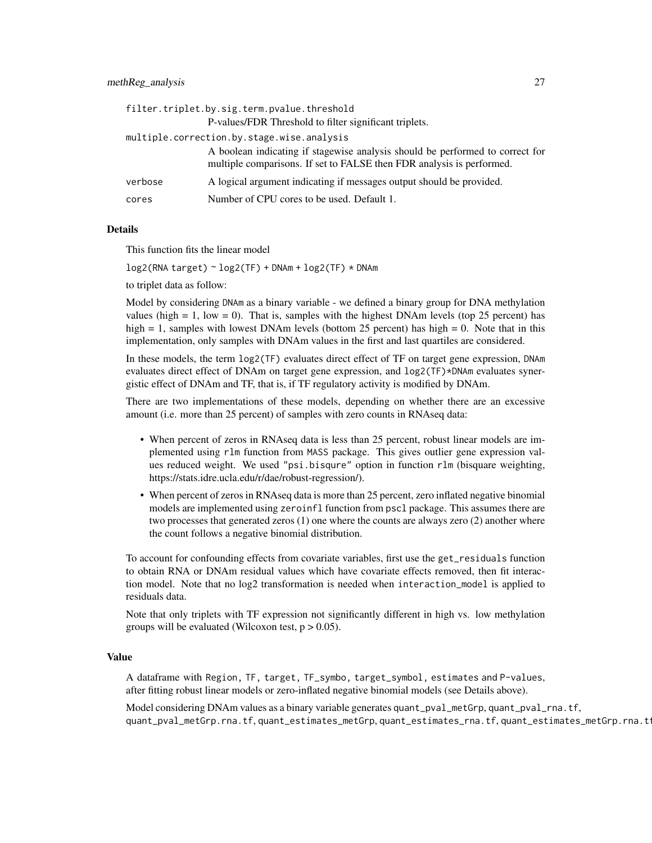|         | filter.triplet.by.sig.term.pvalue.threshold                                                                                                            |
|---------|--------------------------------------------------------------------------------------------------------------------------------------------------------|
|         | P-values/FDR Threshold to filter significant triplets.                                                                                                 |
|         | multiple.correction.by.stage.wise.analysis                                                                                                             |
|         | A boolean indicating if stagewise analysis should be performed to correct for<br>multiple comparisons. If set to FALSE then FDR analysis is performed. |
| verbose | A logical argument indicating if messages output should be provided.                                                                                   |
| cores   | Number of CPU cores to be used. Default 1.                                                                                                             |

#### Details

This function fits the linear model

 $log2(RNA target) \sim log2(TF) + DNAm + log2(TF) \times DNAm$ 

to triplet data as follow:

Model by considering DNAm as a binary variable - we defined a binary group for DNA methylation values (high  $= 1$ , low  $= 0$ ). That is, samples with the highest DNAm levels (top 25 percent) has high = 1, samples with lowest DNAm levels (bottom 25 percent) has high = 0. Note that in this implementation, only samples with DNAm values in the first and last quartiles are considered.

In these models, the term log2(TF) evaluates direct effect of TF on target gene expression, DNAm evaluates direct effect of DNAm on target gene expression, and  $log2(TF)$ \*DNAm evaluates synergistic effect of DNAm and TF, that is, if TF regulatory activity is modified by DNAm.

There are two implementations of these models, depending on whether there are an excessive amount (i.e. more than 25 percent) of samples with zero counts in RNAseq data:

- When percent of zeros in RNAseq data is less than 25 percent, robust linear models are implemented using rlm function from MASS package. This gives outlier gene expression values reduced weight. We used "psi.bisqure" option in function rlm (bisquare weighting, https://stats.idre.ucla.edu/r/dae/robust-regression/).
- When percent of zeros in RNAseq data is more than 25 percent, zero inflated negative binomial models are implemented using zeroinfl function from pscl package. This assumes there are two processes that generated zeros (1) one where the counts are always zero (2) another where the count follows a negative binomial distribution.

To account for confounding effects from covariate variables, first use the get\_residuals function to obtain RNA or DNAm residual values which have covariate effects removed, then fit interaction model. Note that no log2 transformation is needed when interaction\_model is applied to residuals data.

Note that only triplets with TF expression not significantly different in high vs. low methylation groups will be evaluated (Wilcoxon test,  $p > 0.05$ ).

#### Value

A dataframe with Region, TF, target, TF\_symbo, target\_symbol, estimates and P-values, after fitting robust linear models or zero-inflated negative binomial models (see Details above).

Model considering DNAm values as a binary variable generates quant\_pval\_metGrp, quant\_pval\_rna.tf, quant\_pval\_metGrp.rna.tf, quant\_estimates\_metGrp, quant\_estimates\_rna.tf, quant\_estimates\_metGrp.rna.tf.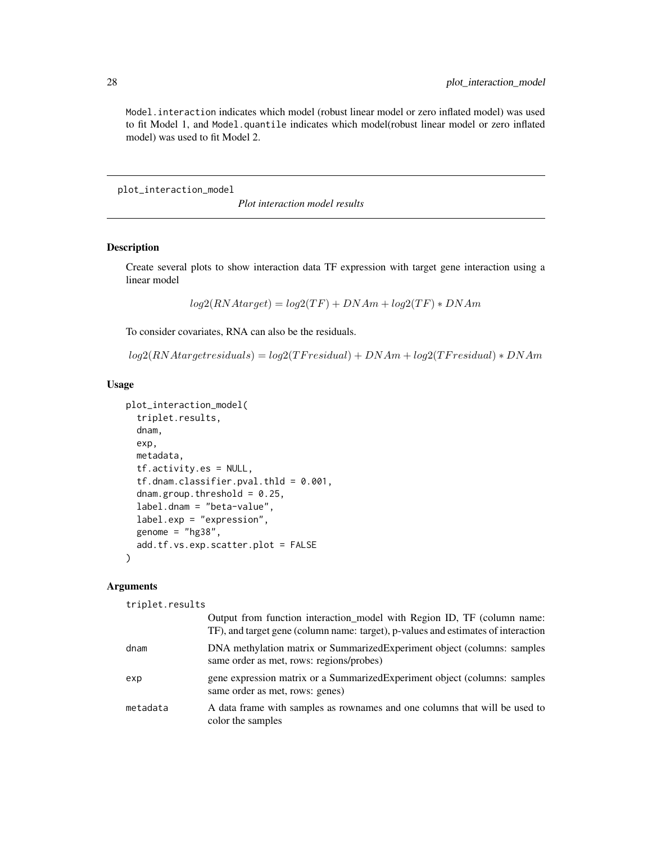Model.interaction indicates which model (robust linear model or zero inflated model) was used to fit Model 1, and Model.quantile indicates which model(robust linear model or zero inflated model) was used to fit Model 2.

plot\_interaction\_model

*Plot interaction model results*

## Description

Create several plots to show interaction data TF expression with target gene interaction using a linear model

 $log2(RNAtarget) = log2(TF) + DNAm + log2(TF) * DNAm$ 

To consider covariates, RNA can also be the residuals.

 $log2(RNA target residuals) = log2(TF residual) + DNAm + log2(TF residual) * DNAm$ 

#### Usage

```
plot_interaction_model(
  triplet.results,
  dnam,
  exp,
  metadata,
  tf.activity.es = NULL,
  tf.dnam.classifier.pval.thld = 0.001,
  dnam.group.threshold = 0.25,
  label.dnam = "beta-value",
  label.exp = "expression",
  genome = "hg38",
  add.tf.vs.exp.scatter.plot = FALSE
)
```
#### **Arguments**

triplet.results

|          | Output from function interaction model with Region ID, TF (column name:<br>TF), and target gene (column name: target), p-values and estimates of interaction |
|----------|--------------------------------------------------------------------------------------------------------------------------------------------------------------|
| dnam     | DNA methylation matrix or SummarizedExperiment object (columns: samples)<br>same order as met, rows: regions/probes)                                         |
| exp      | gene expression matrix or a Summarized Experiment object (columns: samples<br>same order as met, rows: genes)                                                |
| metadata | A data frame with samples as rownames and one columns that will be used to<br>color the samples                                                              |

<span id="page-27-0"></span>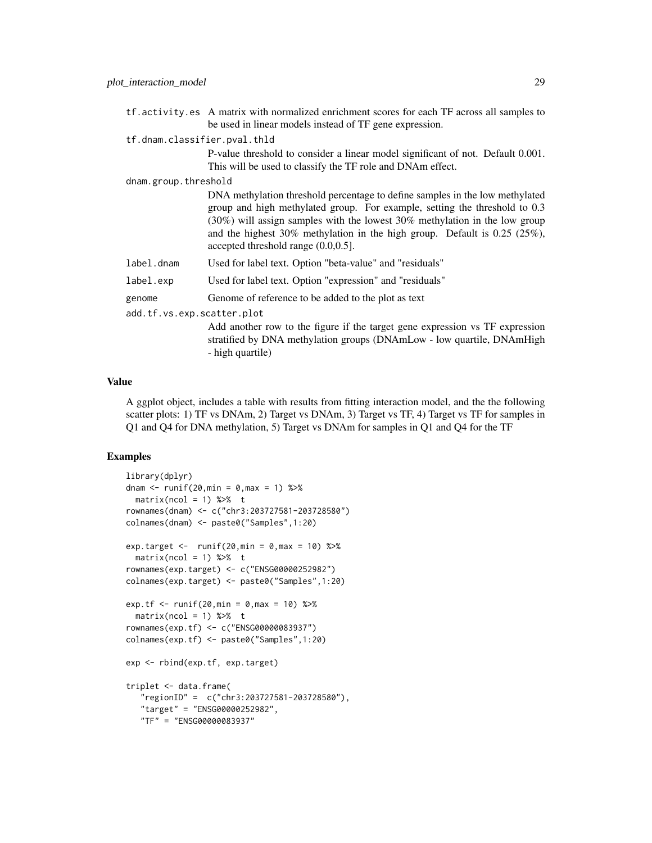tf.activity.es A matrix with normalized enrichment scores for each TF across all samples to be used in linear models instead of TF gene expression.

tf.dnam.classifier.pval.thld

P-value threshold to consider a linear model significant of not. Default 0.001. This will be used to classify the TF role and DNAm effect.

dnam.group.threshold

|            | DNA methylation threshold percentage to define samples in the low methylated                                           |
|------------|------------------------------------------------------------------------------------------------------------------------|
|            | group and high methylated group. For example, setting the threshold to 0.3                                             |
|            | $(30\%)$ will assign samples with the lowest 30% methylation in the low group                                          |
|            | and the highest 30% methylation in the high group. Default is $0.25$ (25%),<br>accepted threshold range $(0.0, 0.5]$ . |
| label.dnam | Used for label text. Option "beta-value" and "residuals"                                                               |
| label.exp  | Used for label text. Option "expression" and "residuals"                                                               |
| genome     | Genome of reference to be added to the plot as text                                                                    |

add.tf.vs.exp.scatter.plot

Add another row to the figure if the target gene expression vs TF expression stratified by DNA methylation groups (DNAmLow - low quartile, DNAmHigh - high quartile)

#### Value

A ggplot object, includes a table with results from fitting interaction model, and the the following scatter plots: 1) TF vs DNAm, 2) Target vs DNAm, 3) Target vs TF, 4) Target vs TF for samples in Q1 and Q4 for DNA methylation, 5) Target vs DNAm for samples in Q1 and Q4 for the TF

```
library(dplyr)
dnam \le runif(20, min = 0, max = 1) %>%
 matrix(ncol = 1) %rownames(dnam) <- c("chr3:203727581-203728580")
colnames(dnam) <- paste0("Samples",1:20)
exp.target <- runif(20,min = 0, \text{max} = 10) %>%
 matrix(ncol = 1) %rownames(exp.target) <- c("ENSG00000252982")
colnames(exp.target) <- paste0("Samples",1:20)
exp.tf <- runit(20, min = 0, max = 10) %>%
 matrix(ncol = 1) %rownames(exp.tf) <- c("ENSG00000083937")
colnames(exp.tf) <- paste0("Samples",1:20)
exp <- rbind(exp.tf, exp.target)
triplet <- data.frame(
   "regionID" = c("chr3:203727581-203728580"),
   "target" = "ENSG00000252982",
   "TF" = "ENSG00000083937"
```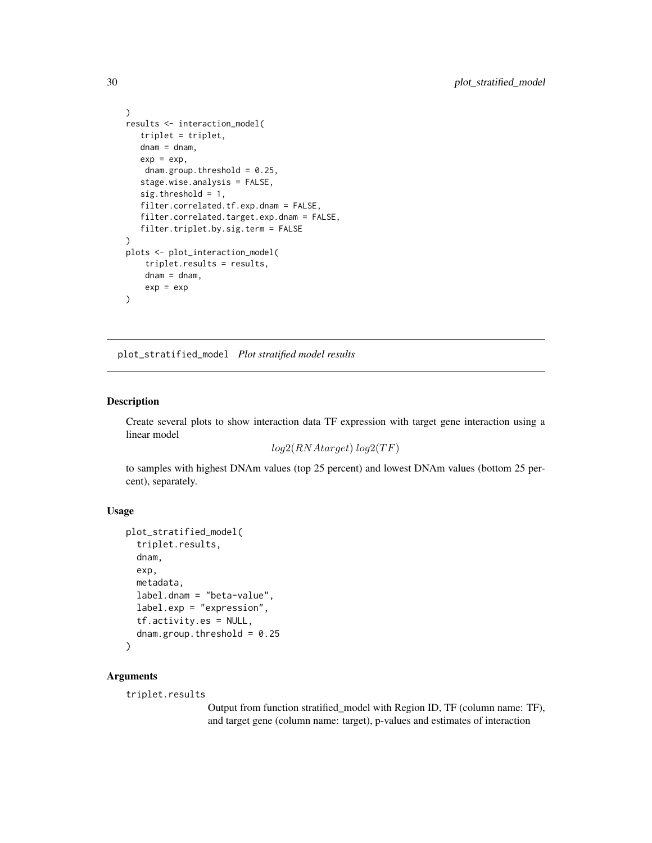```
)
results <- interaction_model(
   triplet = triplet,
   dnam = dnam,
   exp = exp,dnam.group.threshold = 0.25,
   stage.wise.analysis = FALSE,
   sig.threshold = 1,
   filter.correlated.tf.exp.dnam = FALSE,
   filter.correlated.target.exp.dnam = FALSE,
   filter.triplet.by.sig.term = FALSE
\mathcal{L}plots <- plot_interaction_model(
    triplet.results = results,
    dnam = dnam,
    exp = exp
\mathcal{L}
```
plot\_stratified\_model *Plot stratified model results*

#### Description

Create several plots to show interaction data TF expression with target gene interaction using a linear model

```
log2(RNA target) log2(TF)
```
to samples with highest DNAm values (top 25 percent) and lowest DNAm values (bottom 25 percent), separately.

#### Usage

```
plot_stratified_model(
  triplet.results,
  dnam,
  exp,
 metadata,
  label.dnam = "beta-value",
  label.exp = "expression",
  tf.activity.es = NULL,
  dnam.group.threshold = 0.25\lambda
```
## Arguments

triplet.results

Output from function stratified\_model with Region ID, TF (column name: TF), and target gene (column name: target), p-values and estimates of interaction

<span id="page-29-0"></span>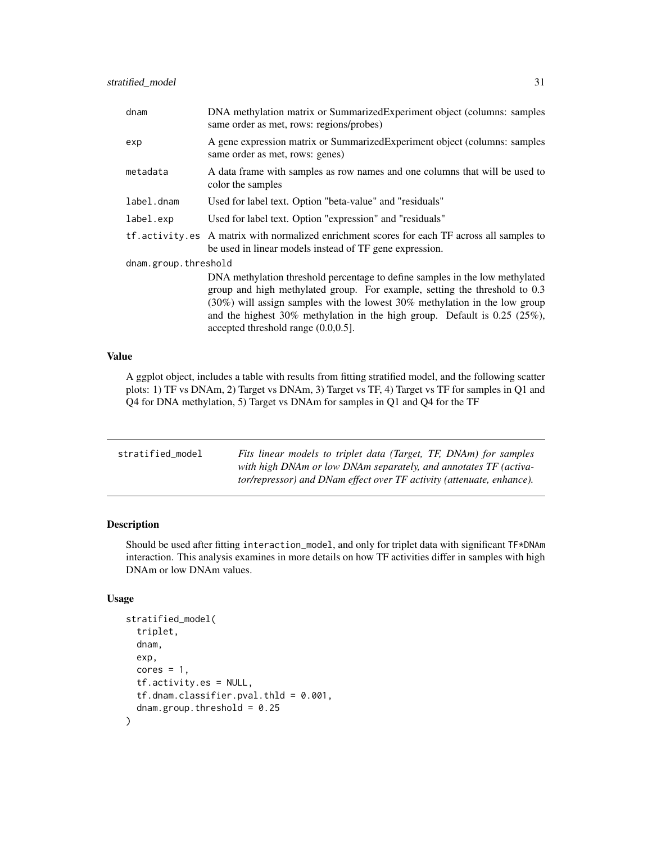<span id="page-30-0"></span>

| dnam                 | DNA methylation matrix or SummarizedExperiment object (columns: samples<br>same order as met, rows: regions/probes)                                                                                                                                                                                                                                                    |
|----------------------|------------------------------------------------------------------------------------------------------------------------------------------------------------------------------------------------------------------------------------------------------------------------------------------------------------------------------------------------------------------------|
| exp                  | A gene expression matrix or SummarizedExperiment object (columns: samples<br>same order as met, rows: genes)                                                                                                                                                                                                                                                           |
| metadata             | A data frame with samples as row names and one columns that will be used to<br>color the samples                                                                                                                                                                                                                                                                       |
| label.dnam           | Used for label text. Option "beta-value" and "residuals"                                                                                                                                                                                                                                                                                                               |
| label.exp            | Used for label text. Option "expression" and "residuals"                                                                                                                                                                                                                                                                                                               |
|                      | tf. activity.es A matrix with normalized enrichment scores for each TF across all samples to<br>be used in linear models instead of TF gene expression.                                                                                                                                                                                                                |
| dnam.group.threshold |                                                                                                                                                                                                                                                                                                                                                                        |
|                      | DNA methylation threshold percentage to define samples in the low methylated<br>group and high methylated group. For example, setting the threshold to 0.3<br>$(30\%)$ will assign samples with the lowest 30% methylation in the low group<br>and the highest $30\%$ methylation in the high group. Default is 0.25 (25%),<br>accepted threshold range $(0.0, 0.5]$ . |

#### Value

A ggplot object, includes a table with results from fitting stratified model, and the following scatter plots: 1) TF vs DNAm, 2) Target vs DNAm, 3) Target vs TF, 4) Target vs TF for samples in Q1 and Q4 for DNA methylation, 5) Target vs DNAm for samples in Q1 and Q4 for the TF

| stratified_model | Fits linear models to triplet data (Target, TF, DNAm) for samples            |
|------------------|------------------------------------------------------------------------------|
|                  | with high DNAm or low DNAm separately, and annotates TF (activa-             |
|                  | <i>tor/repressor)</i> and DNam effect over TF activity (attenuate, enhance). |

## Description

Should be used after fitting interaction\_model, and only for triplet data with significant TF\*DNAm interaction. This analysis examines in more details on how TF activities differ in samples with high DNAm or low DNAm values.

#### Usage

```
stratified_model(
  triplet,
  dnam,
  exp,
 cores = 1,
  tf.activity.es = NULL,
  tf.dnam.classifier.pval.thld = 0.001,
  dnam.group.threshold = 0.25)
```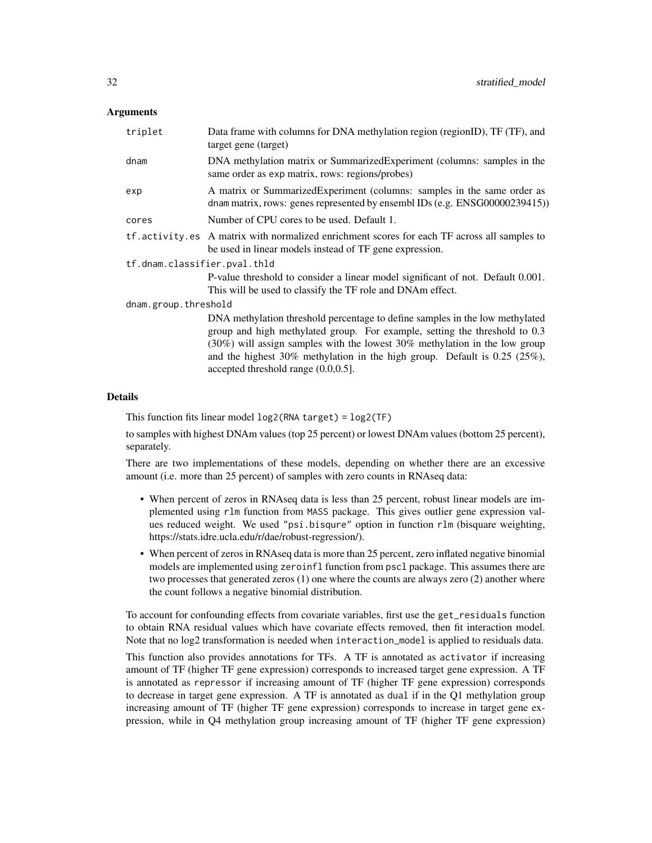## Arguments

| triplet                      | Data frame with columns for DNA methylation region (regionID), TF (TF), and<br>target gene (target)                                                                                                                                                                                                                                                                |
|------------------------------|--------------------------------------------------------------------------------------------------------------------------------------------------------------------------------------------------------------------------------------------------------------------------------------------------------------------------------------------------------------------|
| dnam                         | DNA methylation matrix or SummarizedExperiment (columns: samples in the<br>same order as exp matrix, rows: regions/probes)                                                                                                                                                                                                                                         |
| exp                          | A matrix or Summarized Experiment (columns: samples in the same order as<br>dnam matrix, rows: genes represented by ensembl IDs (e.g. ENSG00000239415))                                                                                                                                                                                                            |
| cores                        | Number of CPU cores to be used. Default 1.                                                                                                                                                                                                                                                                                                                         |
|                              | tf. activity.es A matrix with normalized enrichment scores for each TF across all samples to<br>be used in linear models instead of TF gene expression.                                                                                                                                                                                                            |
| tf.dnam.classifier.pval.thld |                                                                                                                                                                                                                                                                                                                                                                    |
|                              | P-value threshold to consider a linear model significant of not. Default 0.001.<br>This will be used to classify the TF role and DNAm effect.                                                                                                                                                                                                                      |
| dnam.group.threshold         |                                                                                                                                                                                                                                                                                                                                                                    |
|                              | DNA methylation threshold percentage to define samples in the low methylated<br>group and high methylated group. For example, setting the threshold to 0.3<br>$(30\%)$ will assign samples with the lowest 30% methylation in the low group<br>and the highest $30\%$ methylation in the high group. Default is 0.25 (25%),<br>accepted threshold range (0.0,0.5]. |

#### Details

This function fits linear model log2(RNA target) = log2(TF)

to samples with highest DNAm values (top 25 percent) or lowest DNAm values (bottom 25 percent), separately.

There are two implementations of these models, depending on whether there are an excessive amount (i.e. more than 25 percent) of samples with zero counts in RNAseq data:

- When percent of zeros in RNAseq data is less than 25 percent, robust linear models are implemented using rlm function from MASS package. This gives outlier gene expression values reduced weight. We used "psi.bisqure" option in function rlm (bisquare weighting, https://stats.idre.ucla.edu/r/dae/robust-regression/).
- When percent of zeros in RNAseq data is more than 25 percent, zero inflated negative binomial models are implemented using zeroinfl function from pscl package. This assumes there are two processes that generated zeros (1) one where the counts are always zero (2) another where the count follows a negative binomial distribution.

To account for confounding effects from covariate variables, first use the get\_residuals function to obtain RNA residual values which have covariate effects removed, then fit interaction model. Note that no log2 transformation is needed when interaction\_model is applied to residuals data.

This function also provides annotations for TFs. A TF is annotated as activator if increasing amount of TF (higher TF gene expression) corresponds to increased target gene expression. A TF is annotated as repressor if increasing amount of TF (higher TF gene expression) corresponds to decrease in target gene expression. A TF is annotated as dual if in the Q1 methylation group increasing amount of TF (higher TF gene expression) corresponds to increase in target gene expression, while in Q4 methylation group increasing amount of TF (higher TF gene expression)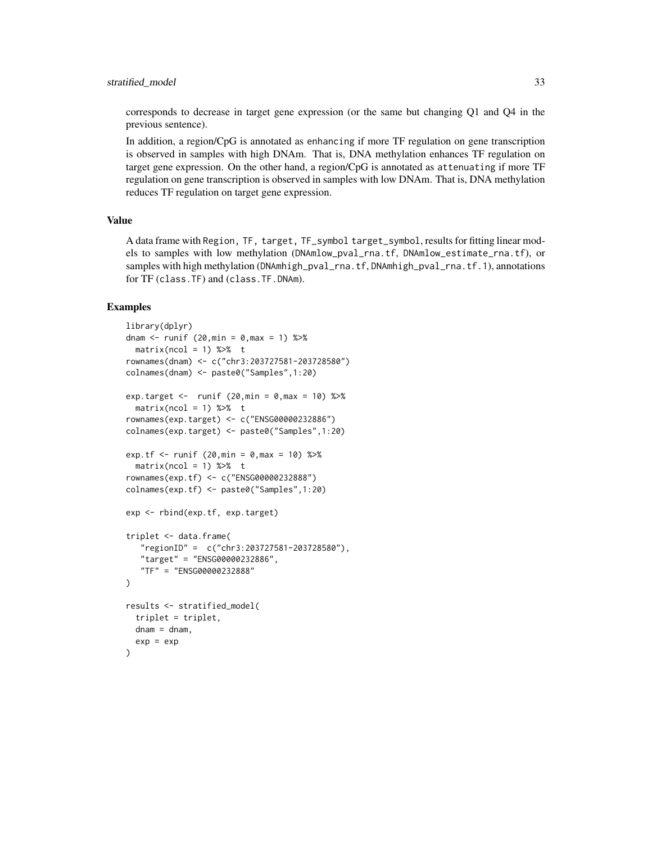#### stratified\_model 33

corresponds to decrease in target gene expression (or the same but changing Q1 and Q4 in the previous sentence).

In addition, a region/CpG is annotated as enhancing if more TF regulation on gene transcription is observed in samples with high DNAm. That is, DNA methylation enhances TF regulation on target gene expression. On the other hand, a region/CpG is annotated as attenuating if more TF regulation on gene transcription is observed in samples with low DNAm. That is, DNA methylation reduces TF regulation on target gene expression.

#### Value

A data frame with Region, TF, target, TF\_symbol target\_symbol, results for fitting linear models to samples with low methylation (DNAmlow\_pval\_rna.tf, DNAmlow\_estimate\_rna.tf), or samples with high methylation (DNAmhigh\_pval\_rna.tf, DNAmhigh\_pval\_rna.tf.1), annotations for TF (class.TF) and (class.TF.DNAm).

```
library(dplyr)
dnam <- runif (20, min = 0, \text{max} = 1) %>%
 matrix(ncol = 1) % > 10rownames(dnam) <- c("chr3:203727581-203728580")
colnames(dnam) <- paste0("Samples",1:20)
exp.target <- runif (20,min = 0, \text{max} = 10) %>%
 matrix(ncol = 1) %rownames(exp.target) <- c("ENSG00000232886")
colnames(exp.target) <- paste0("Samples",1:20)
exp.tf <- runif (20, min = 0, max = 10) %>%
 matrix(ncol = 1) %rownames(exp.tf) <- c("ENSG00000232888")
colnames(exp.tf) <- paste0("Samples",1:20)
exp <- rbind(exp.tf, exp.target)
triplet <- data.frame(
  "regionID" = c("chr3:203727581-203728580"),
   "target" = "ENSG00000232886",
   "TF" = "ENSG00000232888"
\lambdaresults <- stratified_model(
 triplet = triplet,
 dnam = dnam,
 exp = exp)
```